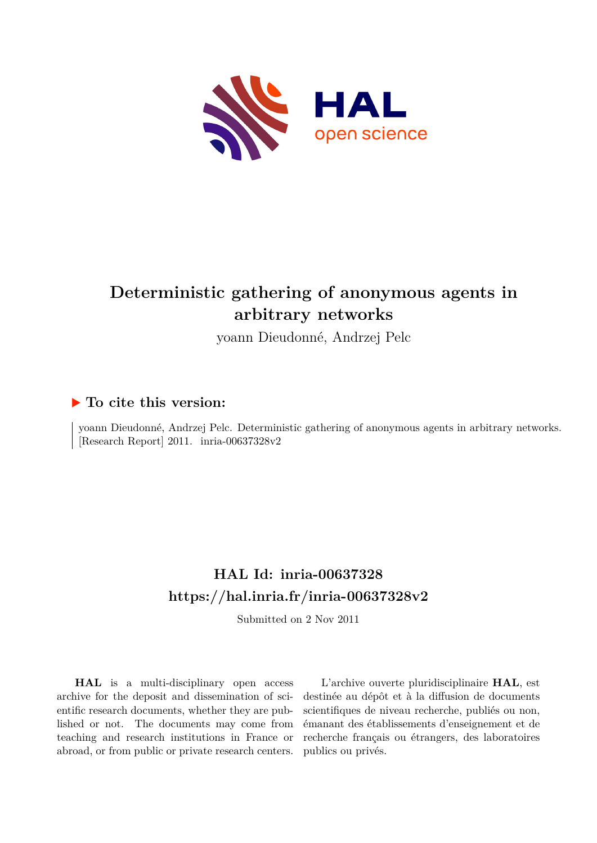

# **Deterministic gathering of anonymous agents in arbitrary networks**

yoann Dieudonné, Andrzej Pelc

# **To cite this version:**

yoann Dieudonné, Andrzej Pelc. Deterministic gathering of anonymous agents in arbitrary networks. [Research Report] 2011. inria-00637328v2

# **HAL Id: inria-00637328 <https://hal.inria.fr/inria-00637328v2>**

Submitted on 2 Nov 2011

**HAL** is a multi-disciplinary open access archive for the deposit and dissemination of scientific research documents, whether they are published or not. The documents may come from teaching and research institutions in France or abroad, or from public or private research centers.

L'archive ouverte pluridisciplinaire **HAL**, est destinée au dépôt et à la diffusion de documents scientifiques de niveau recherche, publiés ou non, émanant des établissements d'enseignement et de recherche français ou étrangers, des laboratoires publics ou privés.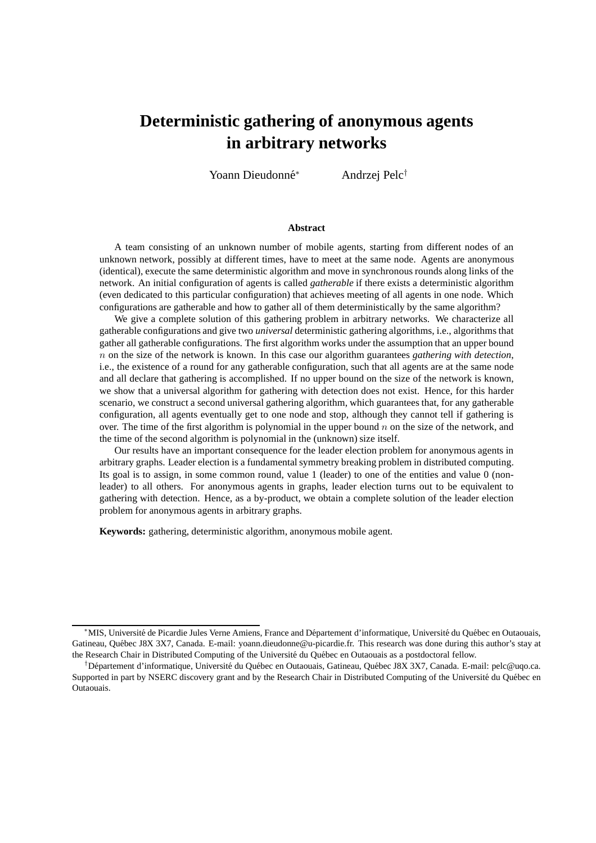# **Deterministic gathering of anonymous agents in arbitrary networks**

Yoann Dieudonné<sup>∗</sup> Andrzej Pelc<sup>†</sup>

### **Abstract**

A team consisting of an unknown number of mobile agents, starting from different nodes of an unknown network, possibly at different times, have to meet at the same node. Agents are anonymous (identical), execute the same deterministic algorithm and move in synchronous rounds along links of the network. An initial configuration of agents is called *gatherable* if there exists a deterministic algorithm (even dedicated to this particular configuration) that achieves meeting of all agents in one node. Which configurations are gatherable and how to gather all of them deterministically by the same algorithm?

We give a complete solution of this gathering problem in arbitrary networks. We characterize all gatherable configurations and give two *universal* deterministic gathering algorithms, i.e., algorithms that gather all gatherable configurations. The first algorithm works under the assumption that an upper bound n on the size of the network is known. In this case our algorithm guarantees *gathering with detection*, i.e., the existence of a round for any gatherable configuration, such that all agents are at the same node and all declare that gathering is accomplished. If no upper bound on the size of the network is known, we show that a universal algorithm for gathering with detection does not exist. Hence, for this harder scenario, we construct a second universal gathering algorithm, which guarantees that, for any gatherable configuration, all agents eventually get to one node and stop, although they cannot tell if gathering is over. The time of the first algorithm is polynomial in the upper bound  $n$  on the size of the network, and the time of the second algorithm is polynomial in the (unknown) size itself.

Our results have an important consequence for the leader election problem for anonymous agents in arbitrary graphs. Leader election is a fundamental symmetry breaking problem in distributed computing. Its goal is to assign, in some common round, value 1 (leader) to one of the entities and value 0 (nonleader) to all others. For anonymous agents in graphs, leader election turns out to be equivalent to gathering with detection. Hence, as a by-product, we obtain a complete solution of the leader election problem for anonymous agents in arbitrary graphs.

**Keywords:** gathering, deterministic algorithm, anonymous mobile agent.

<sup>&</sup>lt;sup>∗</sup>MIS, Université de Picardie Jules Verne Amiens, France and Département d'informatique, Université du Québec en Outaouais, Gatineau, Québec J8X 3X7, Canada. E-mail: yoann.dieudonne@u-picardie.fr. This research was done during this author's stay at the Research Chair in Distributed Computing of the Université du Québec en Outaouais as a postdoctoral fellow.

<sup>&</sup>lt;sup>†</sup>Département d'informatique, Université du Québec en Outaouais, Gatineau, Québec J8X 3X7, Canada. E-mail: pelc@uqo.ca. Supported in part by NSERC discovery grant and by the Research Chair in Distributed Computing of the Université du Québec en Outaouais.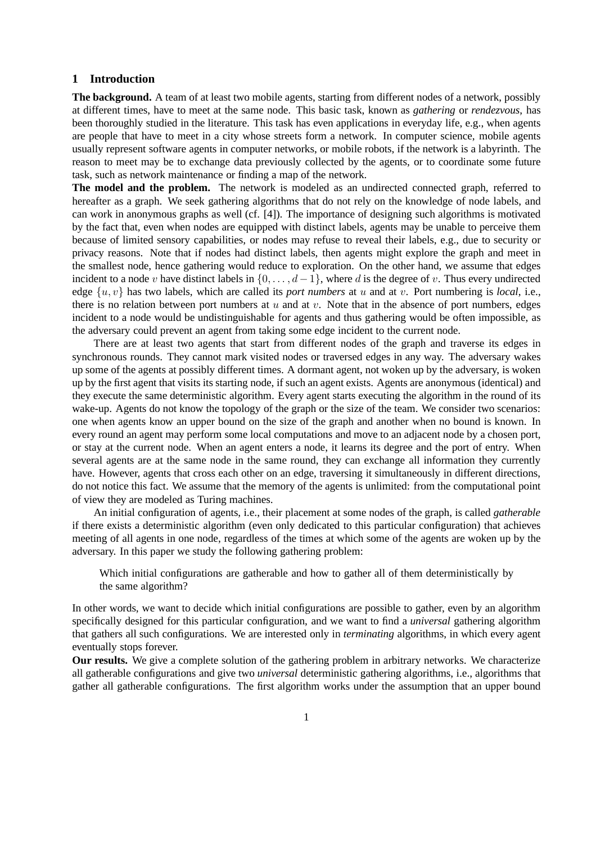# **1 Introduction**

**The background.** A team of at least two mobile agents, starting from different nodes of a network, possibly at different times, have to meet at the same node. This basic task, known as *gathering* or *rendezvous*, has been thoroughly studied in the literature. This task has even applications in everyday life, e.g., when agents are people that have to meet in a city whose streets form a network. In computer science, mobile agents usually represent software agents in computer networks, or mobile robots, if the network is a labyrinth. The reason to meet may be to exchange data previously collected by the agents, or to coordinate some future task, such as network maintenance or finding a map of the network.

**The model and the problem.** The network is modeled as an undirected connected graph, referred to hereafter as a graph. We seek gathering algorithms that do not rely on the knowledge of node labels, and can work in anonymous graphs as well (cf. [4]). The importance of designing such algorithms is motivated by the fact that, even when nodes are equipped with distinct labels, agents may be unable to perceive them because of limited sensory capabilities, or nodes may refuse to reveal their labels, e.g., due to security or privacy reasons. Note that if nodes had distinct labels, then agents might explore the graph and meet in the smallest node, hence gathering would reduce to exploration. On the other hand, we assume that edges incident to a node v have distinct labels in  $\{0, \ldots, d-1\}$ , where d is the degree of v. Thus every undirected edge {u, v} has two labels, which are called its *port numbers* at u and at v. Port numbering is *local*, i.e., there is no relation between port numbers at  $u$  and at  $v$ . Note that in the absence of port numbers, edges incident to a node would be undistinguishable for agents and thus gathering would be often impossible, as the adversary could prevent an agent from taking some edge incident to the current node.

There are at least two agents that start from different nodes of the graph and traverse its edges in synchronous rounds. They cannot mark visited nodes or traversed edges in any way. The adversary wakes up some of the agents at possibly different times. A dormant agent, not woken up by the adversary, is woken up by the first agent that visits its starting node, if such an agent exists. Agents are anonymous (identical) and they execute the same deterministic algorithm. Every agent starts executing the algorithm in the round of its wake-up. Agents do not know the topology of the graph or the size of the team. We consider two scenarios: one when agents know an upper bound on the size of the graph and another when no bound is known. In every round an agent may perform some local computations and move to an adjacent node by a chosen port, or stay at the current node. When an agent enters a node, it learns its degree and the port of entry. When several agents are at the same node in the same round, they can exchange all information they currently have. However, agents that cross each other on an edge, traversing it simultaneously in different directions, do not notice this fact. We assume that the memory of the agents is unlimited: from the computational point of view they are modeled as Turing machines.

An initial configuration of agents, i.e., their placement at some nodes of the graph, is called *gatherable* if there exists a deterministic algorithm (even only dedicated to this particular configuration) that achieves meeting of all agents in one node, regardless of the times at which some of the agents are woken up by the adversary. In this paper we study the following gathering problem:

Which initial configurations are gatherable and how to gather all of them deterministically by the same algorithm?

In other words, we want to decide which initial configurations are possible to gather, even by an algorithm specifically designed for this particular configuration, and we want to find a *universal* gathering algorithm that gathers all such configurations. We are interested only in *terminating* algorithms, in which every agent eventually stops forever.

**Our results.** We give a complete solution of the gathering problem in arbitrary networks. We characterize all gatherable configurations and give two *universal* deterministic gathering algorithms, i.e., algorithms that gather all gatherable configurations. The first algorithm works under the assumption that an upper bound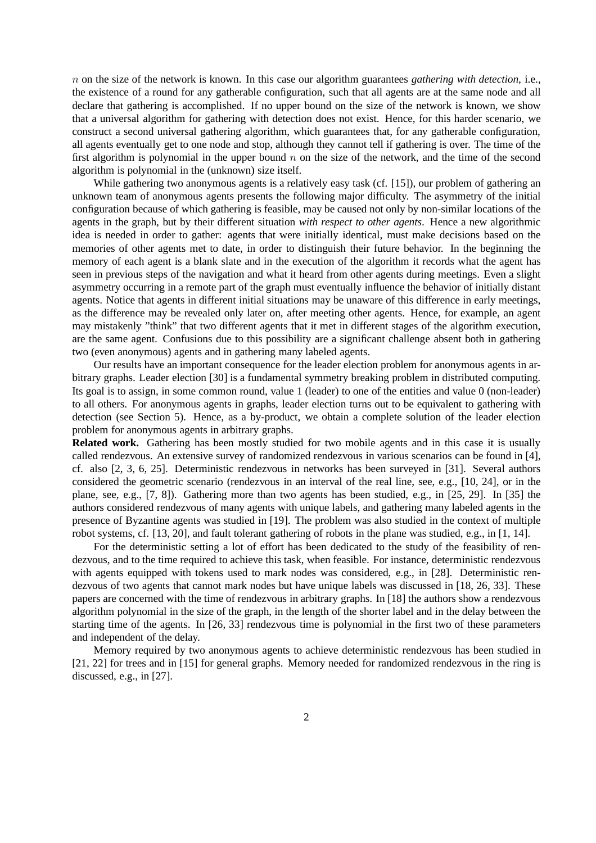n on the size of the network is known. In this case our algorithm guarantees *gathering with detection*, i.e., the existence of a round for any gatherable configuration, such that all agents are at the same node and all declare that gathering is accomplished. If no upper bound on the size of the network is known, we show that a universal algorithm for gathering with detection does not exist. Hence, for this harder scenario, we construct a second universal gathering algorithm, which guarantees that, for any gatherable configuration, all agents eventually get to one node and stop, although they cannot tell if gathering is over. The time of the first algorithm is polynomial in the upper bound  $n$  on the size of the network, and the time of the second algorithm is polynomial in the (unknown) size itself.

While gathering two anonymous agents is a relatively easy task (cf. [15]), our problem of gathering an unknown team of anonymous agents presents the following major difficulty. The asymmetry of the initial configuration because of which gathering is feasible, may be caused not only by non-similar locations of the agents in the graph, but by their different situation *with respect to other agents*. Hence a new algorithmic idea is needed in order to gather: agents that were initially identical, must make decisions based on the memories of other agents met to date, in order to distinguish their future behavior. In the beginning the memory of each agent is a blank slate and in the execution of the algorithm it records what the agent has seen in previous steps of the navigation and what it heard from other agents during meetings. Even a slight asymmetry occurring in a remote part of the graph must eventually influence the behavior of initially distant agents. Notice that agents in different initial situations may be unaware of this difference in early meetings, as the difference may be revealed only later on, after meeting other agents. Hence, for example, an agent may mistakenly "think" that two different agents that it met in different stages of the algorithm execution, are the same agent. Confusions due to this possibility are a significant challenge absent both in gathering two (even anonymous) agents and in gathering many labeled agents.

Our results have an important consequence for the leader election problem for anonymous agents in arbitrary graphs. Leader election [30] is a fundamental symmetry breaking problem in distributed computing. Its goal is to assign, in some common round, value 1 (leader) to one of the entities and value 0 (non-leader) to all others. For anonymous agents in graphs, leader election turns out to be equivalent to gathering with detection (see Section 5). Hence, as a by-product, we obtain a complete solution of the leader election problem for anonymous agents in arbitrary graphs.

**Related work.** Gathering has been mostly studied for two mobile agents and in this case it is usually called rendezvous. An extensive survey of randomized rendezvous in various scenarios can be found in [4], cf. also [2, 3, 6, 25]. Deterministic rendezvous in networks has been surveyed in [31]. Several authors considered the geometric scenario (rendezvous in an interval of the real line, see, e.g., [10, 24], or in the plane, see, e.g., [7, 8]). Gathering more than two agents has been studied, e.g., in [25, 29]. In [35] the authors considered rendezvous of many agents with unique labels, and gathering many labeled agents in the presence of Byzantine agents was studied in [19]. The problem was also studied in the context of multiple robot systems, cf. [13, 20], and fault tolerant gathering of robots in the plane was studied, e.g., in [1, 14].

For the deterministic setting a lot of effort has been dedicated to the study of the feasibility of rendezvous, and to the time required to achieve this task, when feasible. For instance, deterministic rendezvous with agents equipped with tokens used to mark nodes was considered, e.g., in [28]. Deterministic rendezvous of two agents that cannot mark nodes but have unique labels was discussed in [18, 26, 33]. These papers are concerned with the time of rendezvous in arbitrary graphs. In [18] the authors show a rendezvous algorithm polynomial in the size of the graph, in the length of the shorter label and in the delay between the starting time of the agents. In [26, 33] rendezvous time is polynomial in the first two of these parameters and independent of the delay.

Memory required by two anonymous agents to achieve deterministic rendezvous has been studied in [21, 22] for trees and in [15] for general graphs. Memory needed for randomized rendezvous in the ring is discussed, e.g., in [27].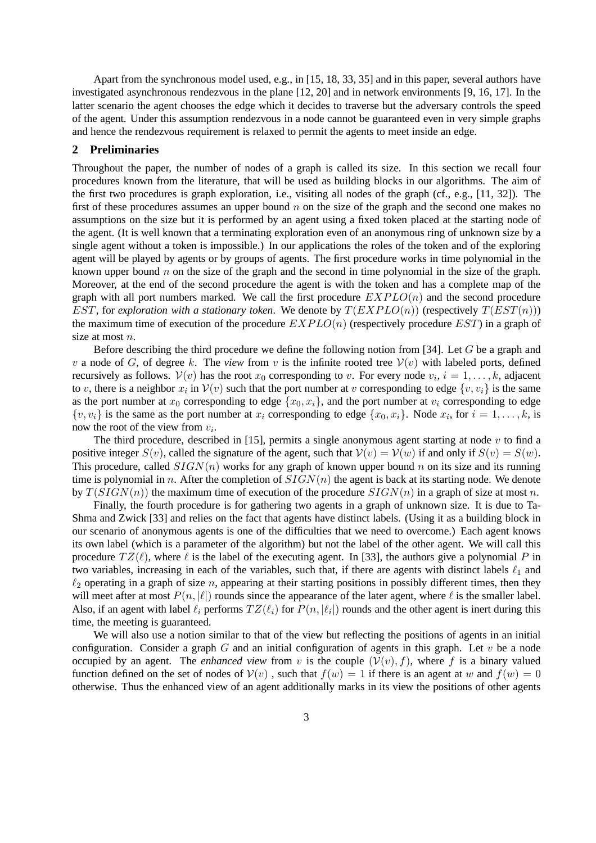Apart from the synchronous model used, e.g., in [15, 18, 33, 35] and in this paper, several authors have investigated asynchronous rendezvous in the plane [12, 20] and in network environments [9, 16, 17]. In the latter scenario the agent chooses the edge which it decides to traverse but the adversary controls the speed of the agent. Under this assumption rendezvous in a node cannot be guaranteed even in very simple graphs and hence the rendezvous requirement is relaxed to permit the agents to meet inside an edge.

# **2 Preliminaries**

Throughout the paper, the number of nodes of a graph is called its size. In this section we recall four procedures known from the literature, that will be used as building blocks in our algorithms. The aim of the first two procedures is graph exploration, i.e., visiting all nodes of the graph (cf., e.g., [11, 32]). The first of these procedures assumes an upper bound  $n$  on the size of the graph and the second one makes no assumptions on the size but it is performed by an agent using a fixed token placed at the starting node of the agent. (It is well known that a terminating exploration even of an anonymous ring of unknown size by a single agent without a token is impossible.) In our applications the roles of the token and of the exploring agent will be played by agents or by groups of agents. The first procedure works in time polynomial in the known upper bound  $n$  on the size of the graph and the second in time polynomial in the size of the graph. Moreover, at the end of the second procedure the agent is with the token and has a complete map of the graph with all port numbers marked. We call the first procedure  $EXPLO(n)$  and the second procedure EST, for *exploration with a stationary token*. We denote by  $T(EXPLO(n))$  (respectively  $T(EST(n))$ ) the maximum time of execution of the procedure  $EXPLO(n)$  (respectively procedure  $EST$ ) in a graph of size at most *n*.

Before describing the third procedure we define the following notion from [34]. Let G be a graph and v a node of G, of degree k. The *view* from v is the infinite rooted tree  $V(v)$  with labeled ports, defined recursively as follows.  $V(v)$  has the root  $x_0$  corresponding to v. For every node  $v_i$ ,  $i = 1, ..., k$ , adjacent to v, there is a neighbor  $x_i$  in  $V(v)$  such that the port number at v corresponding to edge  $\{v, v_i\}$  is the same as the port number at  $x_0$  corresponding to edge  $\{x_0, x_i\}$ , and the port number at  $v_i$  corresponding to edge  $\{v, v_i\}$  is the same as the port number at  $x_i$  corresponding to edge  $\{x_0, x_i\}$ . Node  $x_i$ , for  $i = 1, \ldots, k$ , is now the root of the view from  $v_i$ .

The third procedure, described in [15], permits a single anonymous agent starting at node  $v$  to find a positive integer  $S(v)$ , called the signature of the agent, such that  $V(v) = V(w)$  if and only if  $S(v) = S(w)$ . This procedure, called  $SIGN(n)$  works for any graph of known upper bound n on its size and its running time is polynomial in n. After the completion of  $SIGN(n)$  the agent is back at its starting node. We denote by  $T(SIGN(n))$  the maximum time of execution of the procedure  $SIGN(n)$  in a graph of size at most n.

Finally, the fourth procedure is for gathering two agents in a graph of unknown size. It is due to Ta-Shma and Zwick [33] and relies on the fact that agents have distinct labels. (Using it as a building block in our scenario of anonymous agents is one of the difficulties that we need to overcome.) Each agent knows its own label (which is a parameter of the algorithm) but not the label of the other agent. We will call this procedure  $TZ(\ell)$ , where  $\ell$  is the label of the executing agent. In [33], the authors give a polynomial P in two variables, increasing in each of the variables, such that, if there are agents with distinct labels  $\ell_1$  and  $\ell_2$  operating in a graph of size n, appearing at their starting positions in possibly different times, then they will meet after at most  $P(n, |\ell|)$  rounds since the appearance of the later agent, where  $\ell$  is the smaller label. Also, if an agent with label  $\ell_i$  performs  $TZ(\ell_i)$  for  $P(n, |\ell_i|)$  rounds and the other agent is inert during this time, the meeting is guaranteed.

We will also use a notion similar to that of the view but reflecting the positions of agents in an initial configuration. Consider a graph  $G$  and an initial configuration of agents in this graph. Let  $v$  be a node occupied by an agent. The *enhanced view* from v is the couple  $(V(v), f)$ , where f is a binary valued function defined on the set of nodes of  $V(v)$ , such that  $f(w) = 1$  if there is an agent at w and  $f(w) = 0$ otherwise. Thus the enhanced view of an agent additionally marks in its view the positions of other agents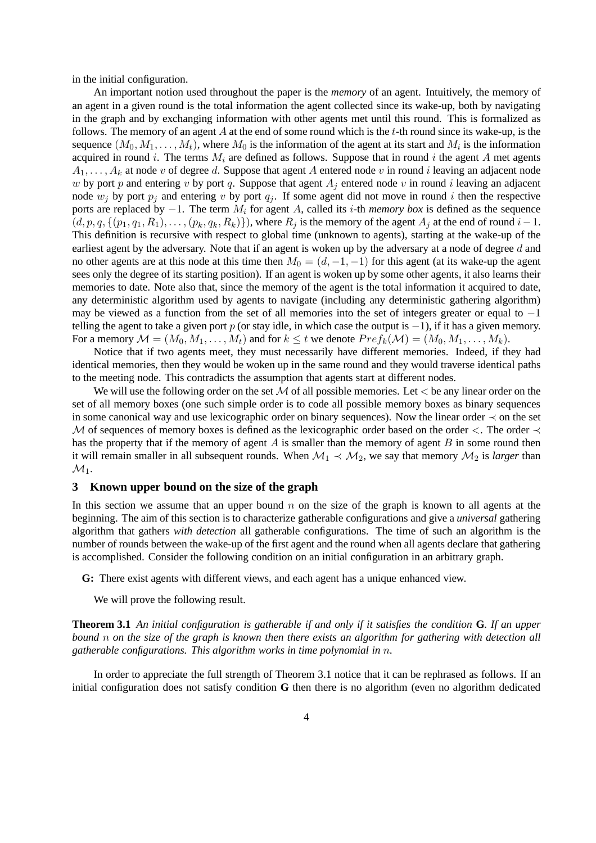in the initial configuration.

An important notion used throughout the paper is the *memory* of an agent. Intuitively, the memory of an agent in a given round is the total information the agent collected since its wake-up, both by navigating in the graph and by exchanging information with other agents met until this round. This is formalized as follows. The memory of an agent A at the end of some round which is the t-th round since its wake-up, is the sequence  $(M_0, M_1, \ldots, M_t)$ , where  $M_0$  is the information of the agent at its start and  $M_i$  is the information acquired in round i. The terms  $M_i$  are defined as follows. Suppose that in round i the agent A met agents  $A_1, \ldots, A_k$  at node v of degree d. Suppose that agent A entered node v in round i leaving an adjacent node w by port p and entering v by port q. Suppose that agent  $A_i$  entered node v in round i leaving an adjacent node  $w_j$  by port  $p_j$  and entering v by port  $q_j$ . If some agent did not move in round i then the respective ports are replaced by  $-1$ . The term  $M_i$  for agent A, called its *i*-th *memory box* is defined as the sequence  $(d, p, q, \{(p_1, q_1, R_1), \ldots, (p_k, q_k, R_k)\})$ , where  $R_i$  is the memory of the agent  $A_i$  at the end of round  $i-1$ . This definition is recursive with respect to global time (unknown to agents), starting at the wake-up of the earliest agent by the adversary. Note that if an agent is woken up by the adversary at a node of degree d and no other agents are at this node at this time then  $M_0 = (d, -1, -1)$  for this agent (at its wake-up the agent sees only the degree of its starting position). If an agent is woken up by some other agents, it also learns their memories to date. Note also that, since the memory of the agent is the total information it acquired to date, any deterministic algorithm used by agents to navigate (including any deterministic gathering algorithm) may be viewed as a function from the set of all memories into the set of integers greater or equal to  $-1$ telling the agent to take a given port p (or stay idle, in which case the output is  $-1$ ), if it has a given memory. For a memory  $\mathcal{M} = (M_0, M_1, \ldots, M_t)$  and for  $k \le t$  we denote  $Pref_k(\mathcal{M}) = (M_0, M_1, \ldots, M_k)$ .

Notice that if two agents meet, they must necessarily have different memories. Indeed, if they had identical memories, then they would be woken up in the same round and they would traverse identical paths to the meeting node. This contradicts the assumption that agents start at different nodes.

We will use the following order on the set  $M$  of all possible memories. Let  $\lt$  be any linear order on the set of all memory boxes (one such simple order is to code all possible memory boxes as binary sequences in some canonical way and use lexicographic order on binary sequences). Now the linear order ≺ on the set M of sequences of memory boxes is defined as the lexicographic order based on the order  $\lt$ . The order  $\lt$ has the property that if the memory of agent  $A$  is smaller than the memory of agent  $B$  in some round then it will remain smaller in all subsequent rounds. When  $M_1 \prec M_2$ , we say that memory  $M_2$  is *larger* than  $\mathcal{M}_1$ .

# **3 Known upper bound on the size of the graph**

In this section we assume that an upper bound  $n$  on the size of the graph is known to all agents at the beginning. The aim of this section is to characterize gatherable configurations and give a *universal* gathering algorithm that gathers *with detection* all gatherable configurations. The time of such an algorithm is the number of rounds between the wake-up of the first agent and the round when all agents declare that gathering is accomplished. Consider the following condition on an initial configuration in an arbitrary graph.

**G:** There exist agents with different views, and each agent has a unique enhanced view.

We will prove the following result.

**Theorem 3.1** *An initial configuration is gatherable if and only if it satisfies the condition* **G***. If an upper bound* n *on the size of the graph is known then there exists an algorithm for gathering with detection all gatherable configurations. This algorithm works in time polynomial in* n*.*

In order to appreciate the full strength of Theorem 3.1 notice that it can be rephrased as follows. If an initial configuration does not satisfy condition **G** then there is no algorithm (even no algorithm dedicated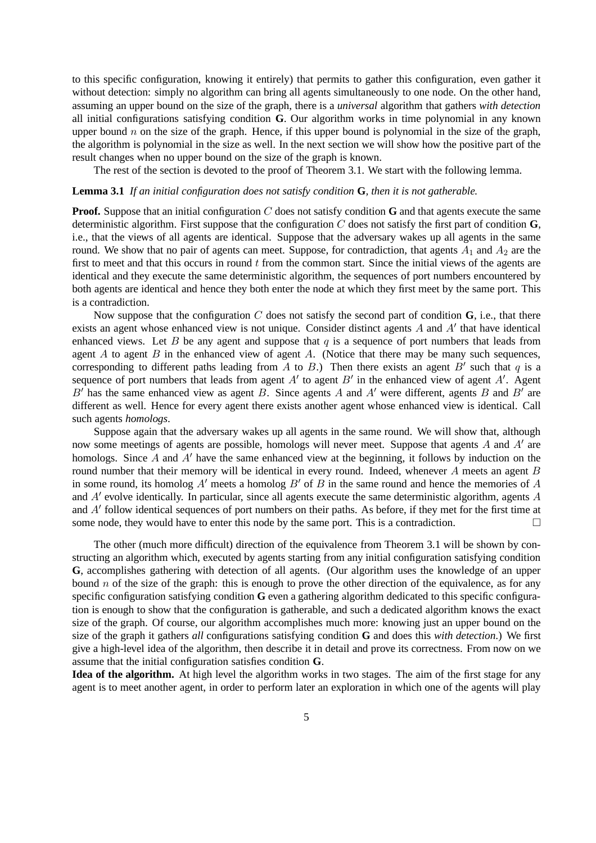to this specific configuration, knowing it entirely) that permits to gather this configuration, even gather it without detection: simply no algorithm can bring all agents simultaneously to one node. On the other hand, assuming an upper bound on the size of the graph, there is a *universal* algorithm that gathers *with detection* all initial configurations satisfying condition **G**. Our algorithm works in time polynomial in any known upper bound n on the size of the graph. Hence, if this upper bound is polynomial in the size of the graph, the algorithm is polynomial in the size as well. In the next section we will show how the positive part of the result changes when no upper bound on the size of the graph is known.

The rest of the section is devoted to the proof of Theorem 3.1. We start with the following lemma.

# **Lemma 3.1** *If an initial configuration does not satisfy condition* **G***, then it is not gatherable.*

**Proof.** Suppose that an initial configuration C does not satisfy condition G and that agents execute the same deterministic algorithm. First suppose that the configuration C does not satisfy the first part of condition **G**, i.e., that the views of all agents are identical. Suppose that the adversary wakes up all agents in the same round. We show that no pair of agents can meet. Suppose, for contradiction, that agents  $A_1$  and  $A_2$  are the first to meet and that this occurs in round  $t$  from the common start. Since the initial views of the agents are identical and they execute the same deterministic algorithm, the sequences of port numbers encountered by both agents are identical and hence they both enter the node at which they first meet by the same port. This is a contradiction.

Now suppose that the configuration  $C$  does not satisfy the second part of condition  $G$ , i.e., that there exists an agent whose enhanced view is not unique. Consider distinct agents  $A$  and  $A'$  that have identical enhanced views. Let B be any agent and suppose that  $q$  is a sequence of port numbers that leads from agent A to agent B in the enhanced view of agent A. (Notice that there may be many such sequences, corresponding to different paths leading from A to B.) Then there exists an agent B' such that  $q$  is a sequence of port numbers that leads from agent  $A'$  to agent  $B'$  in the enhanced view of agent  $A'$ . Agent  $B'$  has the same enhanced view as agent B. Since agents A and A' were different, agents B and B' are different as well. Hence for every agent there exists another agent whose enhanced view is identical. Call such agents *homologs*.

Suppose again that the adversary wakes up all agents in the same round. We will show that, although now some meetings of agents are possible, homologs will never meet. Suppose that agents  $A$  and  $A'$  are homologs. Since  $A$  and  $A'$  have the same enhanced view at the beginning, it follows by induction on the round number that their memory will be identical in every round. Indeed, whenever A meets an agent B in some round, its homolog  $A'$  meets a homolog  $B'$  of B in the same round and hence the memories of A and A' evolve identically. In particular, since all agents execute the same deterministic algorithm, agents A and  $A'$  follow identical sequences of port numbers on their paths. As before, if they met for the first time at some node, they would have to enter this node by the same port. This is a contradiction.  $\Box$ 

The other (much more difficult) direction of the equivalence from Theorem 3.1 will be shown by constructing an algorithm which, executed by agents starting from any initial configuration satisfying condition **G**, accomplishes gathering with detection of all agents. (Our algorithm uses the knowledge of an upper bound n of the size of the graph: this is enough to prove the other direction of the equivalence, as for any specific configuration satisfying condition **G** even a gathering algorithm dedicated to this specific configuration is enough to show that the configuration is gatherable, and such a dedicated algorithm knows the exact size of the graph. Of course, our algorithm accomplishes much more: knowing just an upper bound on the size of the graph it gathers *all* configurations satisfying condition **G** and does this *with detection*.) We first give a high-level idea of the algorithm, then describe it in detail and prove its correctness. From now on we assume that the initial configuration satisfies condition **G**.

Idea of the algorithm. At high level the algorithm works in two stages. The aim of the first stage for any agent is to meet another agent, in order to perform later an exploration in which one of the agents will play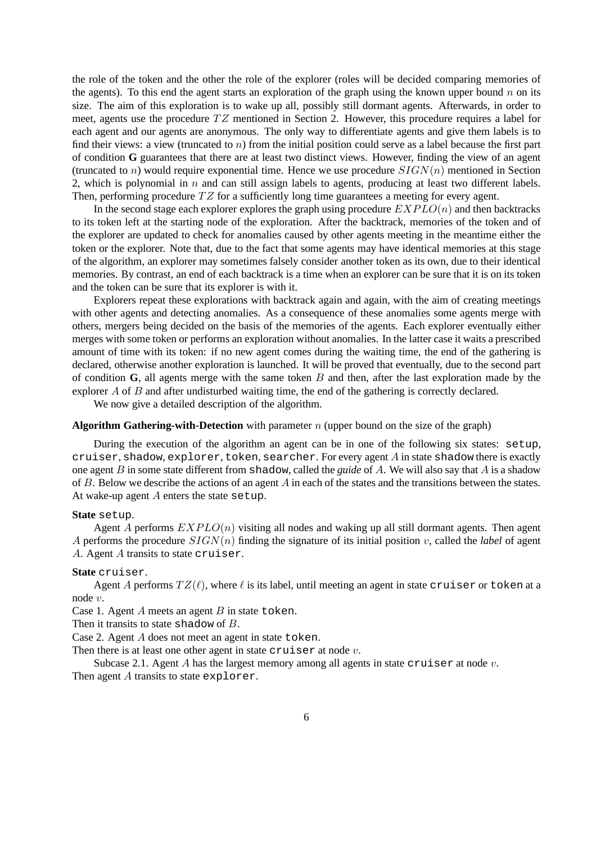the role of the token and the other the role of the explorer (roles will be decided comparing memories of the agents). To this end the agent starts an exploration of the graph using the known upper bound  $n$  on its size. The aim of this exploration is to wake up all, possibly still dormant agents. Afterwards, in order to meet, agents use the procedure  $TZ$  mentioned in Section 2. However, this procedure requires a label for each agent and our agents are anonymous. The only way to differentiate agents and give them labels is to find their views: a view (truncated to  $n$ ) from the initial position could serve as a label because the first part of condition **G** guarantees that there are at least two distinct views. However, finding the view of an agent (truncated to n) would require exponential time. Hence we use procedure  $SIGN(n)$  mentioned in Section 2, which is polynomial in  $n$  and can still assign labels to agents, producing at least two different labels. Then, performing procedure  $TZ$  for a sufficiently long time guarantees a meeting for every agent.

In the second stage each explorer explores the graph using procedure  $EXPLO(n)$  and then backtracks to its token left at the starting node of the exploration. After the backtrack, memories of the token and of the explorer are updated to check for anomalies caused by other agents meeting in the meantime either the token or the explorer. Note that, due to the fact that some agents may have identical memories at this stage of the algorithm, an explorer may sometimes falsely consider another token as its own, due to their identical memories. By contrast, an end of each backtrack is a time when an explorer can be sure that it is on its token and the token can be sure that its explorer is with it.

Explorers repeat these explorations with backtrack again and again, with the aim of creating meetings with other agents and detecting anomalies. As a consequence of these anomalies some agents merge with others, mergers being decided on the basis of the memories of the agents. Each explorer eventually either merges with some token or performs an exploration without anomalies. In the latter case it waits a prescribed amount of time with its token: if no new agent comes during the waiting time, the end of the gathering is declared, otherwise another exploration is launched. It will be proved that eventually, due to the second part of condition **G**, all agents merge with the same token B and then, after the last exploration made by the explorer A of B and after undisturbed waiting time, the end of the gathering is correctly declared.

We now give a detailed description of the algorithm.

#### **Algorithm Gathering-with-Detection** with parameter n (upper bound on the size of the graph)

During the execution of the algorithm an agent can be in one of the following six states: setup, cruiser, shadow, explorer, token, searcher. For every agent  $A$  in state shadow there is exactly one agent B in some state different from shadow, called the *guide* of A. We will also say that A is a shadow of B. Below we describe the actions of an agent A in each of the states and the transitions between the states. At wake-up agent A enters the state setup.

#### **State** setup.

Agent A performs  $EXPLO(n)$  visiting all nodes and waking up all still dormant agents. Then agent A performs the procedure SIGN(n) finding the signature of its initial position v, called the *label* of agent A. Agent A transits to state cruiser.

#### **State** cruiser.

Agent A performs  $TZ(\ell)$ , where  $\ell$  is its label, until meeting an agent in state cruiser or token at a node v.

Case 1. Agent  $A$  meets an agent  $B$  in state token.

Then it transits to state shadow of B.

Case 2. Agent A does not meet an agent in state token.

Then there is at least one other agent in state cruiser at node  $v$ .

Subcase 2.1. Agent A has the largest memory among all agents in state cruiser at node  $v$ . Then agent A transits to state explorer.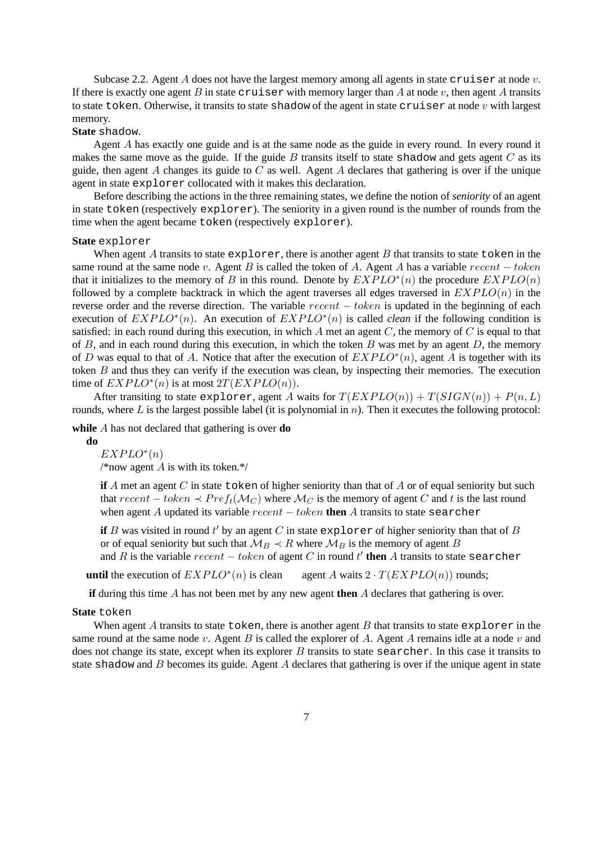Subcase 2.2. Agent  $A$  does not have the largest memory among all agents in state cruiser at node  $v$ . If there is exactly one agent B in state cruiser with memory larger than A at node  $v$ , then agent A transits to state token. Otherwise, it transits to state shadow of the agent in state cruiser at node  $v$  with largest memory.

#### **State** shadow.

Agent A has exactly one guide and is at the same node as the guide in every round. In every round it makes the same move as the guide. If the guide  $B$  transits itself to state shadow and gets agent  $C$  as its guide, then agent A changes its guide to  $C$  as well. Agent A declares that gathering is over if the unique agent in state explorer collocated with it makes this declaration.

Before describing the actions in the three remaining states, we define the notion of *seniority* of an agent in state token (respectively explorer). The seniority in a given round is the number of rounds from the time when the agent became token (respectively explorer).

#### **State** explorer

When agent A transits to state  $\exp\left\{ \arctan\theta \right\}$  and  $\exp\left\{ B \right\}$  that transits to state token in the same round at the same node v. Agent B is called the token of A. Agent A has a variable  $recent - token$ that it initializes to the memory of B in this round. Denote by  $EXPLO^*(n)$  the procedure  $EXPLO(n)$ followed by a complete backtrack in which the agent traverses all edges traversed in  $EXPLO(n)$  in the reverse order and the reverse direction. The variable recent − token is updated in the beginning of each execution of  $EXPLO^*(n)$ . An execution of  $EXPLO^*(n)$  is called *clean* if the following condition is satisfied: in each round during this execution, in which  $A$  met an agent  $C$ , the memory of  $C$  is equal to that of  $B$ , and in each round during this execution, in which the token  $B$  was met by an agent  $D$ , the memory of D was equal to that of A. Notice that after the execution of  $EXPLO^*(n)$ , agent A is together with its token  $B$  and thus they can verify if the execution was clean, by inspecting their memories. The execution time of  $EXPLO^*(n)$  is at most  $2T(EXPLO(n)).$ 

After transiting to state explorer, agent A waits for  $T(EXPLO(n)) + T(SIGN(n)) + P(n, L)$ rounds, where L is the largest possible label (it is polynomial in  $n$ ). Then it executes the following protocol:

**while** A has not declared that gathering is over **do**

**do**

 $EXPLO^*(n)$ 

/\*now agent A is with its token.\*/

**if** A met an agent C in state token of higher seniority than that of A or of equal seniority but such that  $recent - token \prec Pref_t(\mathcal{M}_C)$  where  $\mathcal{M}_C$  is the memory of agent C and t is the last round when agent A updated its variable recent − token **then** A transits to state searcher

**if** B was visited in round  $t'$  by an agent C in state explorer of higher seniority than that of B or of equal seniority but such that  $\mathcal{M}_B \prec R$  where  $\mathcal{M}_B$  is the memory of agent B and R is the variable  $recent - token$  of agent C in round  $t'$  then A transits to state searcher

**until** the execution of  $EXPLO^*(n)$  is clean agent A waits  $2 \cdot T(EXPLO(n))$  rounds;

**if** during this time A has not been met by any new agent **then** A declares that gathering is over.

# **State** token

When agent A transits to state token, there is another agent B that transits to state explorer in the same round at the same node  $v$ . Agent  $B$  is called the explorer of  $A$ . Agent  $A$  remains idle at a node  $v$  and does not change its state, except when its explorer B transits to state searcher. In this case it transits to state shadow and  $B$  becomes its guide. Agent  $A$  declares that gathering is over if the unique agent in state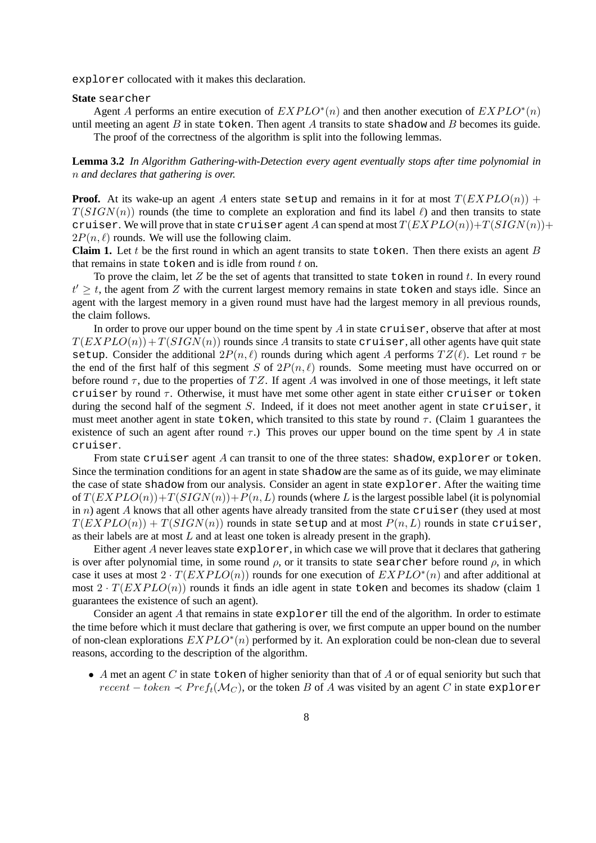explorer collocated with it makes this declaration.

### **State** searcher

Agent A performs an entire execution of  $EXPLO^*(n)$  and then another execution of  $EXPLO^*(n)$ until meeting an agent  $B$  in state token. Then agent  $A$  transits to state shadow and  $B$  becomes its guide.

The proof of the correctness of the algorithm is split into the following lemmas.

**Lemma 3.2** *In Algorithm Gathering-with-Detection every agent eventually stops after time polynomial in* n *and declares that gathering is over.*

**Proof.** At its wake-up an agent A enters state setup and remains in it for at most  $T(EXPLO(n))$  +  $T(SIGN(n))$  rounds (the time to complete an exploration and find its label  $\ell$ ) and then transits to state cruiser. We will prove that in state cruiser agent A can spend at most  $T(EXPLO(n))+T(SIGN(n))+T(SIGN(n))+T(SIGN(n))+T(SIGN(n)))$  $2P(n, \ell)$  rounds. We will use the following claim.

**Claim 1.** Let t be the first round in which an agent transits to state token. Then there exists an agent  $B$ that remains in state  $\tau$  token and is idle from round t on.

To prove the claim, let  $Z$  be the set of agents that transitted to state token in round  $t$ . In every round  $t' \geq t$ , the agent from Z with the current largest memory remains in state token and stays idle. Since an agent with the largest memory in a given round must have had the largest memory in all previous rounds, the claim follows.

In order to prove our upper bound on the time spent by  $A$  in state cruiser, observe that after at most  $T(EXPLO(n) + T(SIGN(n))$  rounds since A transits to state cruiser, all other agents have quit state setup. Consider the additional  $2P(n, \ell)$  rounds during which agent A performs  $TZ(\ell)$ . Let round  $\tau$  be the end of the first half of this segment S of  $2P(n, \ell)$  rounds. Some meeting must have occurred on or before round  $\tau$ , due to the properties of TZ. If agent A was involved in one of those meetings, it left state cruiser by round  $\tau$ . Otherwise, it must have met some other agent in state either cruiser or token during the second half of the segment S. Indeed, if it does not meet another agent in state cruiser, it must meet another agent in state token, which transited to this state by round  $\tau$ . (Claim 1 guarantees the existence of such an agent after round  $\tau$ .) This proves our upper bound on the time spent by A in state cruiser.

From state cruiser agent  $A$  can transit to one of the three states: shadow, explorer or token. Since the termination conditions for an agent in state shadow are the same as of its guide, we may eliminate the case of state shadow from our analysis. Consider an agent in state explorer. After the waiting time of  $T(EXPLO(n)+T(SIGN(n))+P(n, L)$  rounds (where L is the largest possible label (it is polynomial in n) agent A knows that all other agents have already transited from the state cruiser (they used at most  $T(EXPLO(n)) + T(SIGN(n))$  rounds in state setup and at most  $P(n, L)$  rounds in state cruiser, as their labels are at most  $L$  and at least one token is already present in the graph).

Either agent A never leaves state explorer, in which case we will prove that it declares that gathering is over after polynomial time, in some round  $\rho$ , or it transits to state searcher before round  $\rho$ , in which case it uses at most  $2 \cdot T(EXPLO(n))$  rounds for one execution of  $EXPLO^*(n)$  and after additional at most  $2 \cdot T(EXPLO(n))$  rounds it finds an idle agent in state token and becomes its shadow (claim 1) guarantees the existence of such an agent).

Consider an agent A that remains in state  $\exp$ lorer till the end of the algorithm. In order to estimate the time before which it must declare that gathering is over, we first compute an upper bound on the number of non-clean explorations  $EXPLO^*(n)$  performed by it. An exploration could be non-clean due to several reasons, according to the description of the algorithm.

 $\bullet$  A met an agent C in state token of higher seniority than that of A or of equal seniority but such that recent – token  $\prec Pref_t(\mathcal{M}_C)$ , or the token B of A was visited by an agent C in state explorer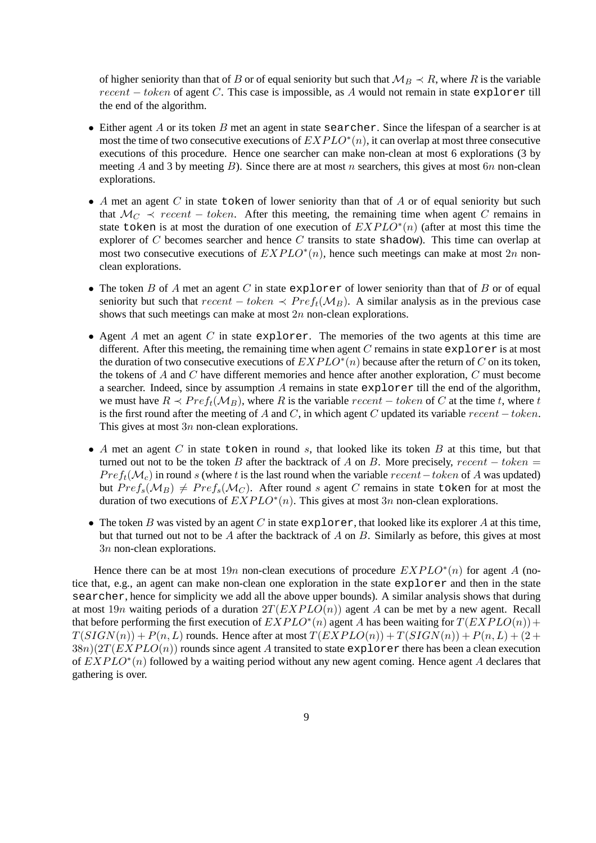of higher seniority than that of B or of equal seniority but such that  $M_B \prec R$ , where R is the variable  $recent - token$  of agent  $C$ . This case is impossible, as  $A$  would not remain in state explorer till the end of the algorithm.

- Either agent A or its token B met an agent in state searcher. Since the lifespan of a searcher is at most the time of two consecutive executions of  $EXPLO^*(n)$ , it can overlap at most three consecutive executions of this procedure. Hence one searcher can make non-clean at most 6 explorations (3 by meeting A and 3 by meeting B). Since there are at most n searchers, this gives at most  $6n$  non-clean explorations.
- A met an agent C in state token of lower seniority than that of A or of equal seniority but such that  $\mathcal{M}_C \prec recent - token$ . After this meeting, the remaining time when agent C remains in state token is at most the duration of one execution of  $EXPLO^*(n)$  (after at most this time the explorer of C becomes searcher and hence C transits to state shadow). This time can overlap at most two consecutive executions of  $EXPLO^*(n)$ , hence such meetings can make at most  $2n$  nonclean explorations.
- The token B of A met an agent C in state explorer of lower seniority than that of B or of equal seniority but such that  $recent - token \le Pref_t(\mathcal{M}_B)$ . A similar analysis as in the previous case shows that such meetings can make at most 2n non-clean explorations.
- Agent A met an agent C in state explorer. The memories of the two agents at this time are different. After this meeting, the remaining time when agent  $C$  remains in state explorer is at most the duration of two consecutive executions of  $EXPLO^*(n)$  because after the return of C on its token, the tokens of  $A$  and  $C$  have different memories and hence after another exploration,  $C$  must become a searcher. Indeed, since by assumption A remains in state explorer till the end of the algorithm, we must have  $R \prec Pre f_t(\mathcal{M}_B)$ , where R is the variable recent – token of C at the time t, where t is the first round after the meeting of A and C, in which agent C updated its variable  $recent - token$ . This gives at most  $3n$  non-clean explorations.
- A met an agent C in state token in round  $s$ , that looked like its token  $B$  at this time, but that turned out not to be the token B after the backtrack of A on B. More precisely,  $recent - token =$  $Pre f_t(\mathcal{M}_c)$  in round s (where t is the last round when the variable recent – token of A was updated) but  $Pref_s(M_B) \neq Pref_s(M_C)$ . After round s agent C remains in state token for at most the duration of two executions of  $EXPLO^*(n)$ . This gives at most 3n non-clean explorations.
- The token B was visted by an agent C in state  $\exp\left\{ \text{ or } \text{ }x \right\}$ , that looked like its explorer A at this time, but that turned out not to be A after the backtrack of A on B. Similarly as before, this gives at most 3n non-clean explorations.

Hence there can be at most 19n non-clean executions of procedure  $EXPLO^*(n)$  for agent A (notice that, e.g., an agent can make non-clean one exploration in the state explorer and then in the state searcher, hence for simplicity we add all the above upper bounds). A similar analysis shows that during at most 19*n* waiting periods of a duration  $2T(EXPLO(n))$  agent A can be met by a new agent. Recall that before performing the first execution of  $EXPLO^*(n)$  agent A has been waiting for  $T(EXPLO(n))$  +  $T(SIGN(n)) + P(n, L)$  rounds. Hence after at most  $T(EXPLO(n)) + T(SIGN(n)) + P(n, L) + (2 +$  $38n(2T(EXPLO(n))$  rounds since agent A transited to state explorer there has been a clean execution of  $EXPLO^*(n)$  followed by a waiting period without any new agent coming. Hence agent A declares that gathering is over.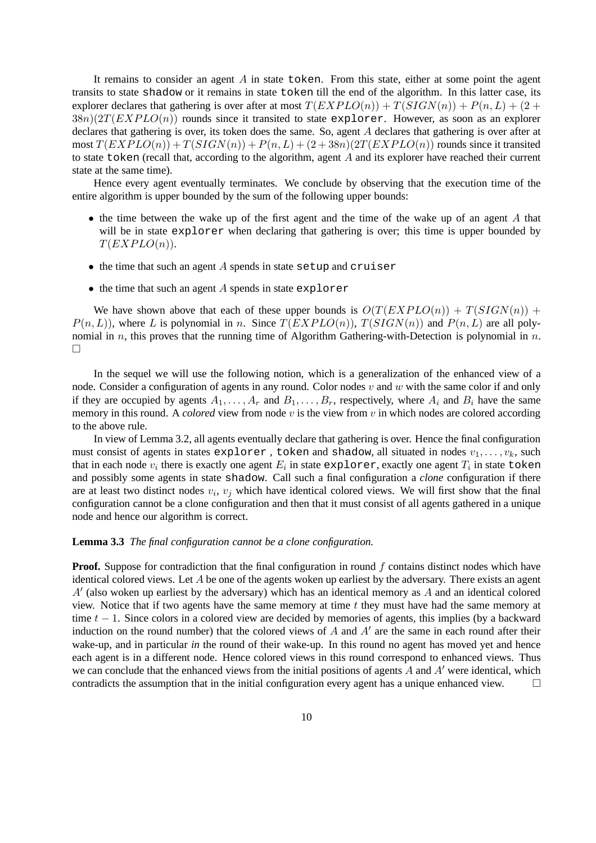It remains to consider an agent  $A$  in state token. From this state, either at some point the agent transits to state shadow or it remains in state token till the end of the algorithm. In this latter case, its explorer declares that gathering is over after at most  $T(EXPLO(n)) + T(SIGN(n)) + P(n, L) + (2 +$  $38n(2T(EXPLO(n))$  rounds since it transited to state explorer. However, as soon as an explorer declares that gathering is over, its token does the same. So, agent A declares that gathering is over after at most  $T(EXPLO(n)) + T(SIGN(n)) + P(n, L) + (2 + 38n)(2T(EXPLO(n))$  rounds since it transited to state token (recall that, according to the algorithm, agent  $A$  and its explorer have reached their current state at the same time).

Hence every agent eventually terminates. We conclude by observing that the execution time of the entire algorithm is upper bounded by the sum of the following upper bounds:

- the time between the wake up of the first agent and the time of the wake up of an agent  $A$  that will be in state explorer when declaring that gathering is over; this time is upper bounded by  $T(EXPLO(n)).$
- $\bullet$  the time that such an agent  $A$  spends in state setup and cruiser
- $\bullet$  the time that such an agent A spends in state explorer

We have shown above that each of these upper bounds is  $O(T(EXPLO(n)) + T(SIGN(n)) +$  $P(n, L)$ , where L is polynomial in n. Since  $T(EXPLO(n))$ ,  $T(SIGN(n))$  and  $P(n, L)$  are all polynomial in n, this proves that the running time of Algorithm Gathering-with-Detection is polynomial in  $n$ .  $\Box$ 

In the sequel we will use the following notion, which is a generalization of the enhanced view of a node. Consider a configuration of agents in any round. Color nodes  $v$  and  $w$  with the same color if and only if they are occupied by agents  $A_1, \ldots, A_r$  and  $B_1, \ldots, B_r$ , respectively, where  $A_i$  and  $B_i$  have the same memory in this round. A *colored* view from node v is the view from v in which nodes are colored according to the above rule.

In view of Lemma 3.2, all agents eventually declare that gathering is over. Hence the final configuration must consist of agents in states explorer, token and shadow, all situated in nodes  $v_1, \ldots, v_k$ , such that in each node  $v_i$  there is exactly one agent  $E_i$  in state  $\mathtt{explorer},$  exactly one agent  $T_i$  in state <code>token</code> and possibly some agents in state shadow. Call such a final configuration a *clone* configuration if there are at least two distinct nodes  $v_i$ ,  $v_j$  which have identical colored views. We will first show that the final configuration cannot be a clone configuration and then that it must consist of all agents gathered in a unique node and hence our algorithm is correct.

#### **Lemma 3.3** *The final configuration cannot be a clone configuration.*

**Proof.** Suppose for contradiction that the final configuration in round f contains distinct nodes which have identical colored views. Let  $A$  be one of the agents woken up earliest by the adversary. There exists an agent  $A'$  (also woken up earliest by the adversary) which has an identical memory as  $A$  and an identical colored view. Notice that if two agents have the same memory at time  $t$  they must have had the same memory at time  $t - 1$ . Since colors in a colored view are decided by memories of agents, this implies (by a backward induction on the round number) that the colored views of  $A$  and  $A'$  are the same in each round after their wake-up, and in particular *in* the round of their wake-up. In this round no agent has moved yet and hence each agent is in a different node. Hence colored views in this round correspond to enhanced views. Thus we can conclude that the enhanced views from the initial positions of agents  $A$  and  $A'$  were identical, which contradicts the assumption that in the initial configuration every agent has a unique enhanced view.  $\Box$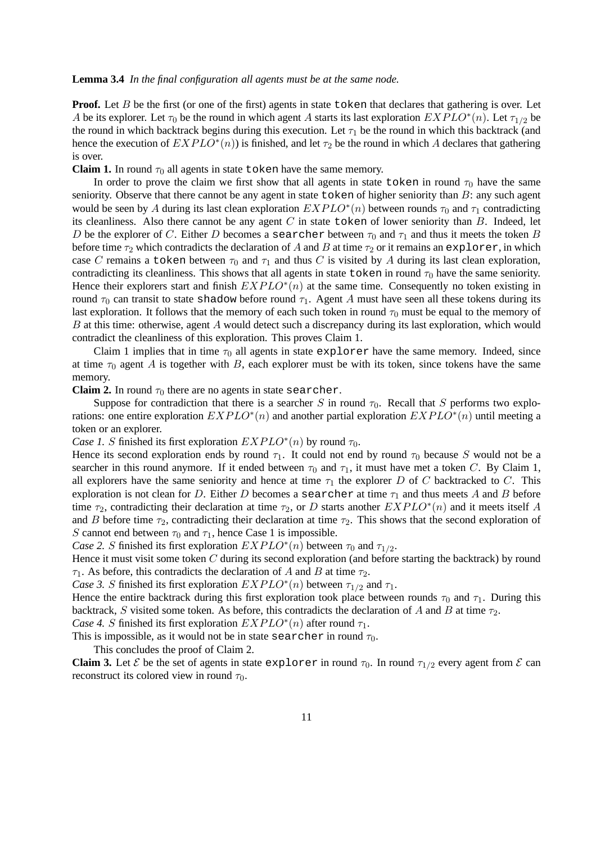#### **Lemma 3.4** *In the final configuration all agents must be at the same node.*

**Proof.** Let B be the first (or one of the first) agents in state token that declares that gathering is over. Let A be its explorer. Let  $\tau_0$  be the round in which agent A starts its last exploration  $EXPLO^*(n)$ . Let  $\tau_{1/2}$  be the round in which backtrack begins during this execution. Let  $\tau_1$  be the round in which this backtrack (and hence the execution of  $EXPLO^*(n)$ ) is finished, and let  $\tau_2$  be the round in which A declares that gathering is over.

**Claim 1.** In round  $\tau_0$  all agents in state token have the same memory.

In order to prove the claim we first show that all agents in state token in round  $\tau_0$  have the same seniority. Observe that there cannot be any agent in state token of higher seniority than B: any such agent would be seen by A during its last clean exploration  $EXPLO^*(n)$  between rounds  $\tau_0$  and  $\tau_1$  contradicting its cleanliness. Also there cannot be any agent  $C$  in state token of lower seniority than  $B$ . Indeed, let D be the explorer of C. Either D becomes a searcher between  $\tau_0$  and  $\tau_1$  and thus it meets the token B before time  $\tau_2$  which contradicts the declaration of A and B at time  $\tau_2$  or it remains an explorer, in which case C remains a token between  $\tau_0$  and  $\tau_1$  and thus C is visited by A during its last clean exploration, contradicting its cleanliness. This shows that all agents in state token in round  $\tau_0$  have the same seniority. Hence their explorers start and finish  $EXPLO^*(n)$  at the same time. Consequently no token existing in round  $\tau_0$  can transit to state shadow before round  $\tau_1$ . Agent A must have seen all these tokens during its last exploration. It follows that the memory of each such token in round  $\tau_0$  must be equal to the memory of B at this time: otherwise, agent A would detect such a discrepancy during its last exploration, which would contradict the cleanliness of this exploration. This proves Claim 1.

Claim 1 implies that in time  $\tau_0$  all agents in state explorer have the same memory. Indeed, since at time  $\tau_0$  agent A is together with B, each explorer must be with its token, since tokens have the same memory.

**Claim 2.** In round  $\tau_0$  there are no agents in state searcher.

Suppose for contradiction that there is a searcher S in round  $\tau_0$ . Recall that S performs two explorations: one entire exploration  $EXPLO^*(n)$  and another partial exploration  $EXPLO^*(n)$  until meeting a token or an explorer.

*Case 1. S* finished its first exploration  $EXPLO^*(n)$  by round  $\tau_0$ .

Hence its second exploration ends by round  $\tau_1$ . It could not end by round  $\tau_0$  because S would not be a searcher in this round anymore. If it ended between  $\tau_0$  and  $\tau_1$ , it must have met a token C. By Claim 1, all explorers have the same seniority and hence at time  $\tau_1$  the explorer D of C backtracked to C. This exploration is not clean for D. Either D becomes a searcher at time  $\tau_1$  and thus meets A and B before time  $\tau_2$ , contradicting their declaration at time  $\tau_2$ , or D starts another  $EXPLO^*(n)$  and it meets itself A and B before time  $\tau_2$ , contradicting their declaration at time  $\tau_2$ . This shows that the second exploration of S cannot end between  $\tau_0$  and  $\tau_1$ , hence Case 1 is impossible.

*Case 2. S* finished its first exploration  $EXPLO^*(n)$  between  $\tau_0$  and  $\tau_{1/2}$ .

Hence it must visit some token C during its second exploration (and before starting the backtrack) by round  $\tau_1$ . As before, this contradicts the declaration of A and B at time  $\tau_2$ .

*Case 3. S* finished its first exploration  $EXPLO^*(n)$  between  $\tau_{1/2}$  and  $\tau_1$ .

Hence the entire backtrack during this first exploration took place between rounds  $\tau_0$  and  $\tau_1$ . During this backtrack, S visited some token. As before, this contradicts the declaration of A and B at time  $\tau_2$ .

*Case 4. S* finished its first exploration  $EXPLO^*(n)$  after round  $\tau_1$ .

This is impossible, as it would not be in state searcher in round  $\tau_0$ .

This concludes the proof of Claim 2.

**Claim 3.** Let  $\mathcal{E}$  be the set of agents in state explorer in round  $\tau_0$ . In round  $\tau_{1/2}$  every agent from  $\mathcal{E}$  can reconstruct its colored view in round  $\tau_0$ .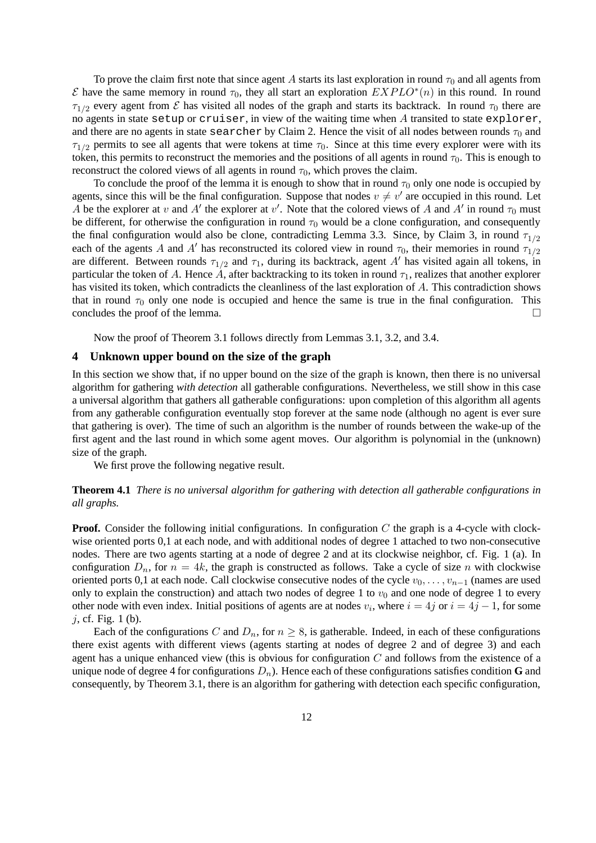To prove the claim first note that since agent A starts its last exploration in round  $\tau_0$  and all agents from E have the same memory in round  $\tau_0$ , they all start an exploration  $EXPLO^*(n)$  in this round. In round  $\tau_{1/2}$  every agent from  $\mathcal E$  has visited all nodes of the graph and starts its backtrack. In round  $\tau_0$  there are no agents in state setup or cruiser, in view of the waiting time when A transited to state explorer, and there are no agents in state searcher by Claim 2. Hence the visit of all nodes between rounds  $\tau_0$  and  $\tau_{1/2}$  permits to see all agents that were tokens at time  $\tau_0$ . Since at this time every explorer were with its token, this permits to reconstruct the memories and the positions of all agents in round  $\tau_0$ . This is enough to reconstruct the colored views of all agents in round  $\tau_0$ , which proves the claim.

To conclude the proof of the lemma it is enough to show that in round  $\tau_0$  only one node is occupied by agents, since this will be the final configuration. Suppose that nodes  $v \neq v'$  are occupied in this round. Let A be the explorer at v and A' the explorer at v'. Note that the colored views of A and A' in round  $\tau_0$  must be different, for otherwise the configuration in round  $\tau_0$  would be a clone configuration, and consequently the final configuration would also be clone, contradicting Lemma 3.3. Since, by Claim 3, in round  $\tau_{1/2}$ each of the agents A and A' has reconstructed its colored view in round  $\tau_0$ , their memories in round  $\tau_{1/2}$ are different. Between rounds  $\tau_{1/2}$  and  $\tau_1$ , during its backtrack, agent A' has visited again all tokens, in particular the token of A. Hence A, after backtracking to its token in round  $\tau_1$ , realizes that another explorer has visited its token, which contradicts the cleanliness of the last exploration of A. This contradiction shows that in round  $\tau_0$  only one node is occupied and hence the same is true in the final configuration. This concludes the proof of the lemma.

Now the proof of Theorem 3.1 follows directly from Lemmas 3.1, 3.2, and 3.4.

# **4 Unknown upper bound on the size of the graph**

In this section we show that, if no upper bound on the size of the graph is known, then there is no universal algorithm for gathering *with detection* all gatherable configurations. Nevertheless, we still show in this case a universal algorithm that gathers all gatherable configurations: upon completion of this algorithm all agents from any gatherable configuration eventually stop forever at the same node (although no agent is ever sure that gathering is over). The time of such an algorithm is the number of rounds between the wake-up of the first agent and the last round in which some agent moves. Our algorithm is polynomial in the (unknown) size of the graph.

We first prove the following negative result.

**Theorem 4.1** *There is no universal algorithm for gathering with detection all gatherable configurations in all graphs.*

**Proof.** Consider the following initial configurations. In configuration  $C$  the graph is a 4-cycle with clockwise oriented ports 0,1 at each node, and with additional nodes of degree 1 attached to two non-consecutive nodes. There are two agents starting at a node of degree 2 and at its clockwise neighbor, cf. Fig. 1 (a). In configuration  $D_n$ , for  $n = 4k$ , the graph is constructed as follows. Take a cycle of size n with clockwise oriented ports 0,1 at each node. Call clockwise consecutive nodes of the cycle  $v_0, \ldots, v_{n-1}$  (names are used only to explain the construction) and attach two nodes of degree 1 to  $v_0$  and one node of degree 1 to every other node with even index. Initial positions of agents are at nodes  $v_i$ , where  $i = 4j$  or  $i = 4j - 1$ , for some  $i$ , cf. Fig. 1 (b).

Each of the configurations C and  $D_n$ , for  $n \geq 8$ , is gatherable. Indeed, in each of these configurations there exist agents with different views (agents starting at nodes of degree 2 and of degree 3) and each agent has a unique enhanced view (this is obvious for configuration  $C$  and follows from the existence of a unique node of degree 4 for configurations  $D_n$ ). Hence each of these configurations satisfies condition **G** and consequently, by Theorem 3.1, there is an algorithm for gathering with detection each specific configuration,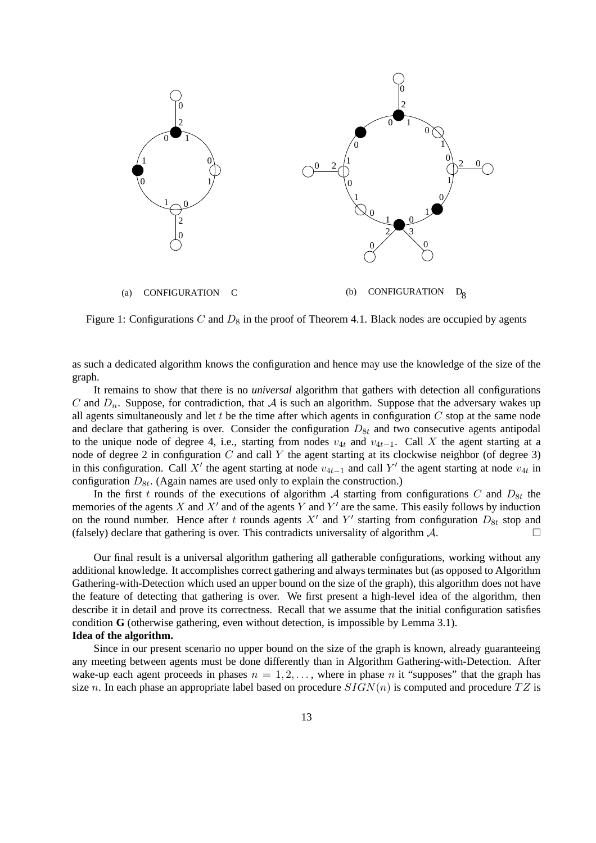

Figure 1: Configurations C and  $D_8$  in the proof of Theorem 4.1. Black nodes are occupied by agents

as such a dedicated algorithm knows the configuration and hence may use the knowledge of the size of the graph.

It remains to show that there is no *universal* algorithm that gathers with detection all configurations C and  $D_n$ . Suppose, for contradiction, that A is such an algorithm. Suppose that the adversary wakes up all agents simultaneously and let  $t$  be the time after which agents in configuration  $C$  stop at the same node and declare that gathering is over. Consider the configuration  $D_{8t}$  and two consecutive agents antipodal to the unique node of degree 4, i.e., starting from nodes  $v_{4t}$  and  $v_{4t-1}$ . Call X the agent starting at a node of degree 2 in configuration  $C$  and call  $Y$  the agent starting at its clockwise neighbor (of degree 3) in this configuration. Call X' the agent starting at node  $v_{4t-1}$  and call Y' the agent starting at node  $v_{4t}$  in configuration  $D_{8t}$ . (Again names are used only to explain the construction.)

In the first t rounds of the executions of algorithm A starting from configurations C and  $D_{8t}$  the memories of the agents X and X' and of the agents Y and Y' are the same. This easily follows by induction on the round number. Hence after t rounds agents  $X'$  and  $Y'$  starting from configuration  $D_{8t}$  stop and (falsely) declare that gathering is over. This contradicts universality of algorithm  $\mathcal{A}$ .

Our final result is a universal algorithm gathering all gatherable configurations, working without any additional knowledge. It accomplishes correct gathering and always terminates but (as opposed to Algorithm Gathering-with-Detection which used an upper bound on the size of the graph), this algorithm does not have the feature of detecting that gathering is over. We first present a high-level idea of the algorithm, then describe it in detail and prove its correctness. Recall that we assume that the initial configuration satisfies condition **G** (otherwise gathering, even without detection, is impossible by Lemma 3.1). **Idea of the algorithm.**

Since in our present scenario no upper bound on the size of the graph is known, already guaranteeing any meeting between agents must be done differently than in Algorithm Gathering-with-Detection. After wake-up each agent proceeds in phases  $n = 1, 2, \ldots$ , where in phase n it "supposes" that the graph has size n. In each phase an appropriate label based on procedure  $SIGN(n)$  is computed and procedure  $TZ$  is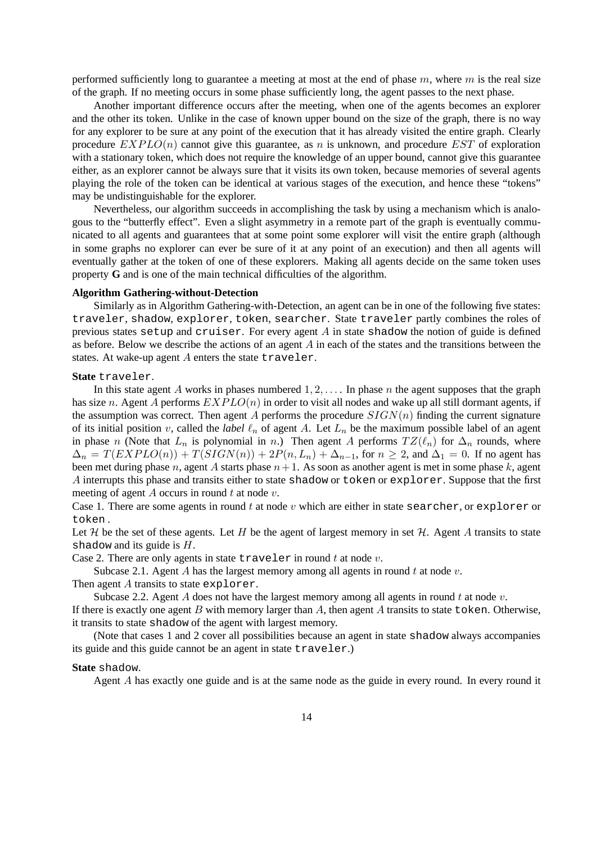performed sufficiently long to guarantee a meeting at most at the end of phase  $m$ , where  $m$  is the real size of the graph. If no meeting occurs in some phase sufficiently long, the agent passes to the next phase.

Another important difference occurs after the meeting, when one of the agents becomes an explorer and the other its token. Unlike in the case of known upper bound on the size of the graph, there is no way for any explorer to be sure at any point of the execution that it has already visited the entire graph. Clearly procedure  $EXPLO(n)$  cannot give this guarantee, as n is unknown, and procedure  $EST$  of exploration with a stationary token, which does not require the knowledge of an upper bound, cannot give this guarantee either, as an explorer cannot be always sure that it visits its own token, because memories of several agents playing the role of the token can be identical at various stages of the execution, and hence these "tokens" may be undistinguishable for the explorer.

Nevertheless, our algorithm succeeds in accomplishing the task by using a mechanism which is analogous to the "butterfly effect". Even a slight asymmetry in a remote part of the graph is eventually communicated to all agents and guarantees that at some point some explorer will visit the entire graph (although in some graphs no explorer can ever be sure of it at any point of an execution) and then all agents will eventually gather at the token of one of these explorers. Making all agents decide on the same token uses property **G** and is one of the main technical difficulties of the algorithm.

#### **Algorithm Gathering-without-Detection**

Similarly as in Algorithm Gathering-with-Detection, an agent can be in one of the following five states: traveler, shadow, explorer, token, searcher. State traveler partly combines the roles of previous states setup and cruiser. For every agent  $A$  in state shadow the notion of guide is defined as before. Below we describe the actions of an agent  $A$  in each of the states and the transitions between the states. At wake-up agent  $A$  enters the state traveler.

# **State** traveler.

In this state agent A works in phases numbered  $1, 2, \ldots$ . In phase n the agent supposes that the graph has size n. Agent A performs  $EXPLO(n)$  in order to visit all nodes and wake up all still dormant agents, if the assumption was correct. Then agent A performs the procedure  $SIGN(n)$  finding the current signature of its initial position v, called the *label*  $\ell_n$  of agent A. Let  $L_n$  be the maximum possible label of an agent in phase n (Note that  $L_n$  is polynomial in n.) Then agent A performs  $TZ(\ell_n)$  for  $\Delta_n$  rounds, where  $\Delta_n = T(EXPLO(n)) + T(SIGN(n)) + 2P(n, L_n) + \Delta_{n-1}$ , for  $n \geq 2$ , and  $\Delta_1 = 0$ . If no agent has been met during phase n, agent A starts phase  $n+1$ . As soon as another agent is met in some phase k, agent A interrupts this phase and transits either to state shadow or token or explorer. Suppose that the first meeting of agent  $A$  occurs in round  $t$  at node  $v$ .

Case 1. There are some agents in round  $t$  at node  $v$  which are either in state searcher, or explorer or token .

Let  $H$  be the set of these agents. Let  $H$  be the agent of largest memory in set  $H$ . Agent  $A$  transits to state shadow and its guide is H.

Case 2. There are only agents in state  $\text{traveler}$  in round t at node v.

Subcase 2.1. Agent A has the largest memory among all agents in round  $t$  at node  $v$ .

Then agent A transits to state explorer.

Subcase 2.2. Agent  $A$  does not have the largest memory among all agents in round  $t$  at node  $v$ .

If there is exactly one agent B with memory larger than A, then agent A transits to state token. Otherwise, it transits to state shadow of the agent with largest memory.

(Note that cases 1 and 2 cover all possibilities because an agent in state shadow always accompanies its guide and this guide cannot be an agent in state traveler.)

#### **State** shadow.

Agent A has exactly one guide and is at the same node as the guide in every round. In every round it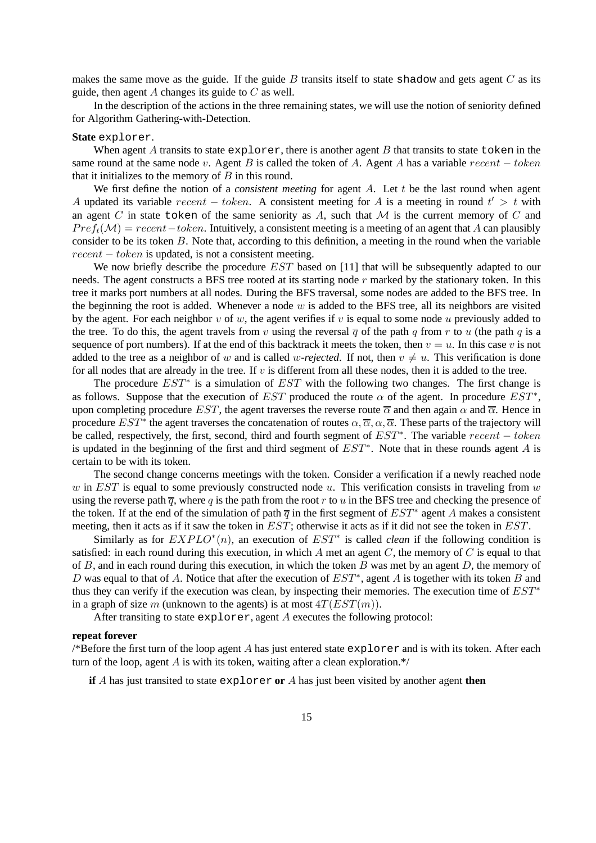makes the same move as the guide. If the guide  $B$  transits itself to state shadow and gets agent  $C$  as its guide, then agent  $A$  changes its guide to  $C$  as well.

In the description of the actions in the three remaining states, we will use the notion of seniority defined for Algorithm Gathering-with-Detection.

# **State** explorer.

When agent A transits to state  $\exp\left\{ \arctan\theta \right\}$  and  $\exp\left\{ B \right\}$  that transits to state token in the same round at the same node v. Agent B is called the token of A. Agent A has a variable  $recent - token$ that it initializes to the memory of  $B$  in this round.

We first define the notion of a *consistent meeting* for agent A. Let t be the last round when agent A updated its variable  $recent - token$ . A consistent meeting for A is a meeting in round  $t' > t$  with an agent C in state token of the same seniority as A, such that  $M$  is the current memory of C and  $Pref_t(\mathcal{M}) = recent - token$ . Intuitively, a consistent meeting is a meeting of an agent that A can plausibly consider to be its token  $B$ . Note that, according to this definition, a meeting in the round when the variable  $recent - token$  is updated, is not a consistent meeting.

We now briefly describe the procedure *EST* based on [11] that will be subsequently adapted to our needs. The agent constructs a BFS tree rooted at its starting node r marked by the stationary token. In this tree it marks port numbers at all nodes. During the BFS traversal, some nodes are added to the BFS tree. In the beginning the root is added. Whenever a node  $w$  is added to the BFS tree, all its neighbors are visited by the agent. For each neighbor v of w, the agent verifies if v is equal to some node u previously added to the tree. To do this, the agent travels from v using the reversal  $\overline{q}$  of the path q from r to u (the path q is a sequence of port numbers). If at the end of this backtrack it meets the token, then  $v = u$ . In this case v is not added to the tree as a neighbor of w and is called w-*rejected*. If not, then  $v \neq u$ . This verification is done for all nodes that are already in the tree. If  $v$  is different from all these nodes, then it is added to the tree.

The procedure  $EST^*$  is a simulation of  $EST$  with the following two changes. The first change is as follows. Suppose that the execution of EST produced the route  $\alpha$  of the agent. In procedure EST<sup>\*</sup>, upon completing procedure EST, the agent traverses the reverse route  $\overline{\alpha}$  and then again  $\alpha$  and  $\overline{\alpha}$ . Hence in procedure  $EST^*$  the agent traverses the concatenation of routes  $\alpha, \overline{\alpha}, \alpha, \overline{\alpha}$ . These parts of the trajectory will be called, respectively, the first, second, third and fourth segment of  $EST^*$ . The variable  $recent - token$ is updated in the beginning of the first and third segment of  $EST^*$ . Note that in these rounds agent A is certain to be with its token.

The second change concerns meetings with the token. Consider a verification if a newly reached node w in EST is equal to some previously constructed node  $u$ . This verification consists in traveling from  $w$ using the reverse path  $\overline{q}$ , where q is the path from the root r to u in the BFS tree and checking the presence of the token. If at the end of the simulation of path  $\overline{q}$  in the first segment of  $EST^*$  agent A makes a consistent meeting, then it acts as if it saw the token in EST; otherwise it acts as if it did not see the token in EST.

Similarly as for  $EXPLO^*(n)$ , an execution of  $EST^*$  is called *clean* if the following condition is satisfied: in each round during this execution, in which  $A$  met an agent  $C$ , the memory of  $C$  is equal to that of  $B$ , and in each round during this execution, in which the token  $B$  was met by an agent  $D$ , the memory of D was equal to that of A. Notice that after the execution of  $EST^*$ , agent A is together with its token B and thus they can verify if the execution was clean, by inspecting their memories. The execution time of  $EST^*$ in a graph of size m (unknown to the agents) is at most  $4T(EST(m))$ .

After transiting to state explorer, agent A executes the following protocol:

# **repeat forever**

/\*Before the first turn of the loop agent A has just entered state explorer and is with its token. After each turn of the loop, agent A is with its token, waiting after a clean exploration. $*/$ 

**if** A has just transited to state explorer **or** A has just been visited by another agent **then**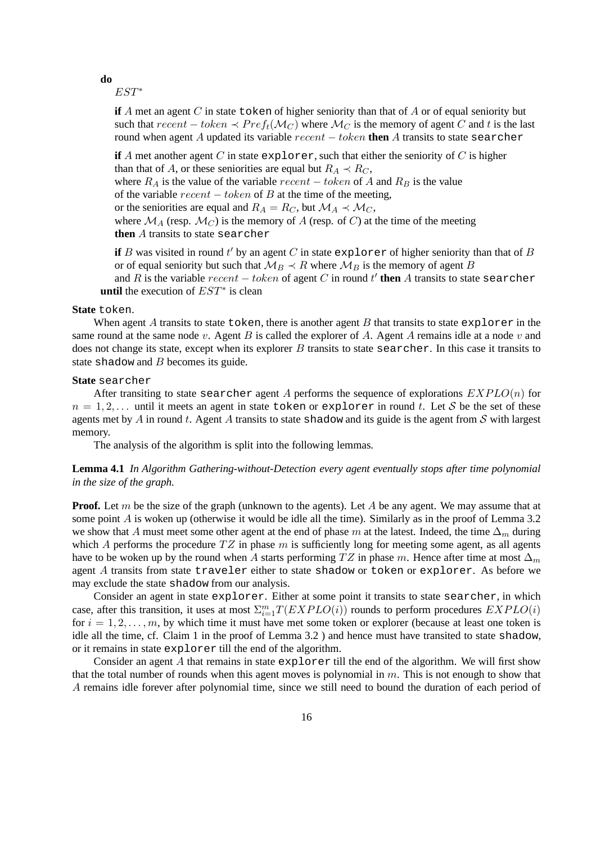**do**

EST<sup>∗</sup>

**if** A met an agent C in state token of higher seniority than that of A or of equal seniority but such that  $recent - token \prec Pref_t(\mathcal{M}_C)$  where  $\mathcal{M}_C$  is the memory of agent C and t is the last round when agent A updated its variable recent − token **then** A transits to state searcher

**if** A met another agent C in state explorer, such that either the seniority of C is higher than that of A, or these seniorities are equal but  $R_A \prec R_C$ , where  $R_A$  is the value of the variable  $recent - token$  of A and  $R_B$  is the value of the variable  $recent - token$  of B at the time of the meeting, or the seniorities are equal and  $R_A = R_C$ , but  $\mathcal{M}_A \prec \mathcal{M}_C$ , where  $\mathcal{M}_A$  (resp.  $\mathcal{M}_C$ ) is the memory of A (resp. of C) at the time of the meeting **then** A transits to state searcher

**if** B was visited in round  $t'$  by an agent C in state explorer of higher seniority than that of B or of equal seniority but such that  $M_B \prec R$  where  $M_B$  is the memory of agent B and R is the variable  $recent - token$  of agent C in round t' then A transits to state searcher until the execution of  $EST^*$  is clean

#### **State** token.

When agent A transits to state token, there is another agent B that transits to state explorer in the same round at the same node v. Agent B is called the explorer of A. Agent A remains idle at a node v and does not change its state, except when its explorer B transits to state searcher. In this case it transits to state shadow and  $B$  becomes its guide.

# **State** searcher

After transiting to state searcher agent A performs the sequence of explorations  $EXPLO(n)$  for  $n = 1, 2, \ldots$  until it meets an agent in state token or explorer in round t. Let S be the set of these agents met by A in round t. Agent A transits to state shadow and its guide is the agent from S with largest memory.

The analysis of the algorithm is split into the following lemmas.

**Lemma 4.1** *In Algorithm Gathering-without-Detection every agent eventually stops after time polynomial in the size of the graph.*

**Proof.** Let m be the size of the graph (unknown to the agents). Let A be any agent. We may assume that at some point A is woken up (otherwise it would be idle all the time). Similarly as in the proof of Lemma 3.2 we show that A must meet some other agent at the end of phase m at the latest. Indeed, the time  $\Delta_m$  during which A performs the procedure  $TZ$  in phase m is sufficiently long for meeting some agent, as all agents have to be woken up by the round when A starts performing TZ in phase m. Hence after time at most  $\Delta_m$ agent A transits from state traveler either to state shadow or token or explorer. As before we may exclude the state shadow from our analysis.

Consider an agent in state explorer. Either at some point it transits to state searcher, in which case, after this transition, it uses at most  $\sum_{i=1}^{m} T(EXPLO(i))$  rounds to perform procedures  $EXPLO(i)$ for  $i = 1, 2, \ldots, m$ , by which time it must have met some token or explorer (because at least one token is idle all the time, cf. Claim 1 in the proof of Lemma 3.2 ) and hence must have transited to state shadow, or it remains in state explorer till the end of the algorithm.

Consider an agent A that remains in state  $\exp$ lorer till the end of the algorithm. We will first show that the total number of rounds when this agent moves is polynomial in  $m$ . This is not enough to show that A remains idle forever after polynomial time, since we still need to bound the duration of each period of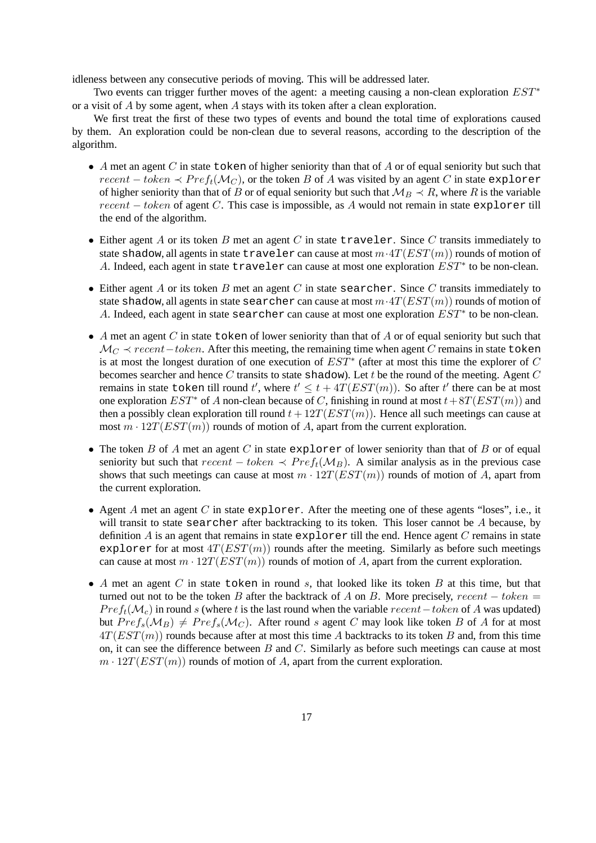idleness between any consecutive periods of moving. This will be addressed later.

Two events can trigger further moves of the agent: a meeting causing a non-clean exploration  $EST^*$ or a visit of A by some agent, when A stays with its token after a clean exploration.

We first treat the first of these two types of events and bound the total time of explorations caused by them. An exploration could be non-clean due to several reasons, according to the description of the algorithm.

- $\bullet$  A met an agent C in state token of higher seniority than that of A or of equal seniority but such that recent – token  $\prec$  Pre  $f_t(\mathcal{M}_C)$ , or the token B of A was visited by an agent C in state explorer of higher seniority than that of B or of equal seniority but such that  $\mathcal{M}_B \prec R$ , where R is the variable  $recent - token$  of agent C. This case is impossible, as A would not remain in state explorer till the end of the algorithm.
- Either agent A or its token B met an agent C in state traveler. Since C transits immediately to state shadow, all agents in state traveler can cause at most  $m \cdot 4T(EST(m))$  rounds of motion of A. Indeed, each agent in state traveler can cause at most one exploration  $EST^*$  to be non-clean.
- Either agent A or its token B met an agent C in state searcher. Since C transits immediately to state shadow, all agents in state searcher can cause at most  $m \cdot 4T(EST(m))$  rounds of motion of A. Indeed, each agent in state searcher can cause at most one exploration  $EST^*$  to be non-clean.
- A met an agent C in state token of lower seniority than that of A or of equal seniority but such that  $\mathcal{M}_C \prec recent-token$ . After this meeting, the remaining time when agent C remains in state token is at most the longest duration of one execution of  $EST^*$  (after at most this time the explorer of  $C$ becomes searcher and hence C transits to state shadow). Let t be the round of the meeting. Agent  $C$ remains in state token till round t', where  $t' \leq t + 4T(EST(m))$ . So after t' there can be at most one exploration  $EST^*$  of A non-clean because of C, finishing in round at most  $t+8T(EST(m))$  and then a possibly clean exploration till round  $t + 12T(EST(m))$ . Hence all such meetings can cause at most  $m \cdot 12T(EST(m))$  rounds of motion of A, apart from the current exploration.
- The token  $B$  of  $A$  met an agent  $C$  in state explorer of lower seniority than that of  $B$  or of equal seniority but such that  $recent - token \prec Pref_t(\mathcal{M}_B)$ . A similar analysis as in the previous case shows that such meetings can cause at most  $m \cdot 12T(EST(m))$  rounds of motion of A, apart from the current exploration.
- Agent A met an agent C in state explorer. After the meeting one of these agents "loses", i.e., it will transit to state searcher after backtracking to its token. This loser cannot be A because, by definition  $\vec{A}$  is an agent that remains in state explorer till the end. Hence agent  $\vec{C}$  remains in state explorer for at most  $4T(EST(m))$  rounds after the meeting. Similarly as before such meetings can cause at most  $m \cdot 12T(EST(m))$  rounds of motion of A, apart from the current exploration.
- A met an agent C in state token in round s, that looked like its token B at this time, but that turned out not to be the token B after the backtrack of A on B. More precisely,  $recent - token =$  $Pre f_t(\mathcal{M}_c)$  in round s (where t is the last round when the variable recent – token of A was updated) but  $Pref_s(M_B) \neq Pref_s(M_C)$ . After round s agent C may look like token B of A for at most  $4T(EST(m))$  rounds because after at most this time A backtracks to its token B and, from this time on, it can see the difference between  $B$  and  $C$ . Similarly as before such meetings can cause at most  $m \cdot 12T(EST(m))$  rounds of motion of A, apart from the current exploration.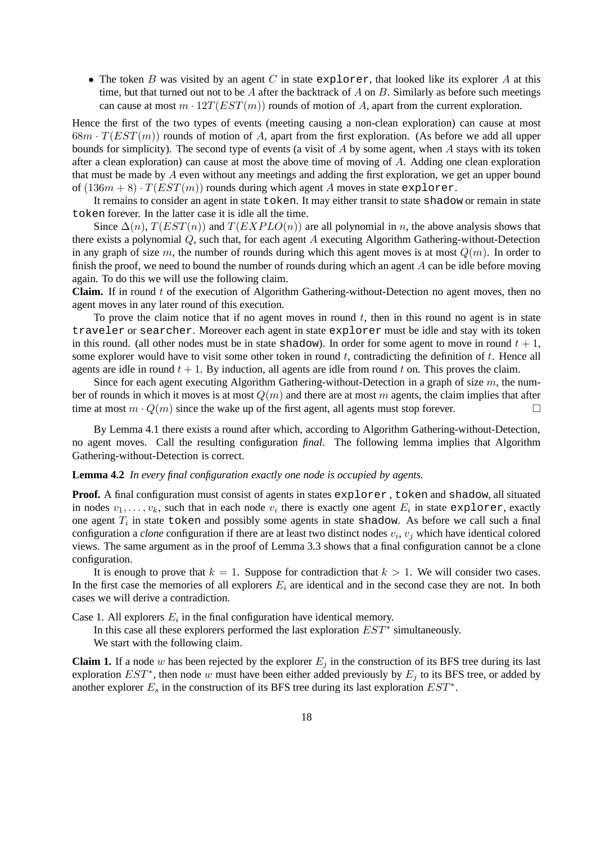• The token B was visited by an agent C in state explorer, that looked like its explorer A at this time, but that turned out not to be  $A$  after the backtrack of  $A$  on  $B$ . Similarly as before such meetings can cause at most  $m \cdot 12T(EST(m))$  rounds of motion of A, apart from the current exploration.

Hence the first of the two types of events (meeting causing a non-clean exploration) can cause at most  $68m \cdot T(EST(m))$  rounds of motion of A, apart from the first exploration. (As before we add all upper bounds for simplicity). The second type of events (a visit of  $\tilde{A}$  by some agent, when  $\tilde{A}$  stays with its token after a clean exploration) can cause at most the above time of moving of  $A$ . Adding one clean exploration that must be made by A even without any meetings and adding the first exploration, we get an upper bound of  $(136m + 8) \cdot T(EST(m))$  rounds during which agent A moves in state explorer.

It remains to consider an agent in state token. It may either transit to state shadow or remain in state token forever. In the latter case it is idle all the time.

Since  $\Delta(n)$ ,  $T(EST(n))$  and  $T(EXPLO(n))$  are all polynomial in n, the above analysis shows that there exists a polynomial Q, such that, for each agent A executing Algorithm Gathering-without-Detection in any graph of size m, the number of rounds during which this agent moves is at most  $Q(m)$ . In order to finish the proof, we need to bound the number of rounds during which an agent  $A$  can be idle before moving again. To do this we will use the following claim.

**Claim.** If in round t of the execution of Algorithm Gathering-without-Detection no agent moves, then no agent moves in any later round of this execution.

To prove the claim notice that if no agent moves in round  $t$ , then in this round no agent is in state traveler or searcher. Moreover each agent in state explorer must be idle and stay with its token in this round. (all other nodes must be in state shadow). In order for some agent to move in round  $t + 1$ , some explorer would have to visit some other token in round  $t$ , contradicting the definition of  $t$ . Hence all agents are idle in round  $t + 1$ . By induction, all agents are idle from round t on. This proves the claim.

Since for each agent executing Algorithm Gathering-without-Detection in a graph of size  $m$ , the number of rounds in which it moves is at most  $Q(m)$  and there are at most m agents, the claim implies that after time at most  $m \cdot Q(m)$  since the wake up of the first agent, all agents must stop forever.

By Lemma 4.1 there exists a round after which, according to Algorithm Gathering-without-Detection, no agent moves. Call the resulting configuration *final*. The following lemma implies that Algorithm Gathering-without-Detection is correct.

# **Lemma 4.2** *In every final configuration exactly one node is occupied by agents.*

**Proof.** A final configuration must consist of agents in states explorer, token and shadow, all situated in nodes  $v_1, \ldots, v_k$ , such that in each node  $v_i$  there is exactly one agent  $E_i$  in state explorer, exactly one agent  $T_i$  in state token and possibly some agents in state shadow. As before we call such a final configuration a *clone* configuration if there are at least two distinct nodes  $v_i$ ,  $v_j$  which have identical colored views. The same argument as in the proof of Lemma 3.3 shows that a final configuration cannot be a clone configuration.

It is enough to prove that  $k = 1$ . Suppose for contradiction that  $k > 1$ . We will consider two cases. In the first case the memories of all explorers  $E_i$  are identical and in the second case they are not. In both cases we will derive a contradiction.

Case 1. All explorers  $E_i$  in the final configuration have identical memory.

In this case all these explorers performed the last exploration  $EST^*$  simultaneously. We start with the following claim.

**Claim 1.** If a node w has been rejected by the explorer  $E_j$  in the construction of its BFS tree during its last exploration  $EST^*$ , then node w must have been either added previously by  $E_j$  to its BFS tree, or added by another explorer  $E_s$  in the construction of its BFS tree during its last exploration  $EST^*$ .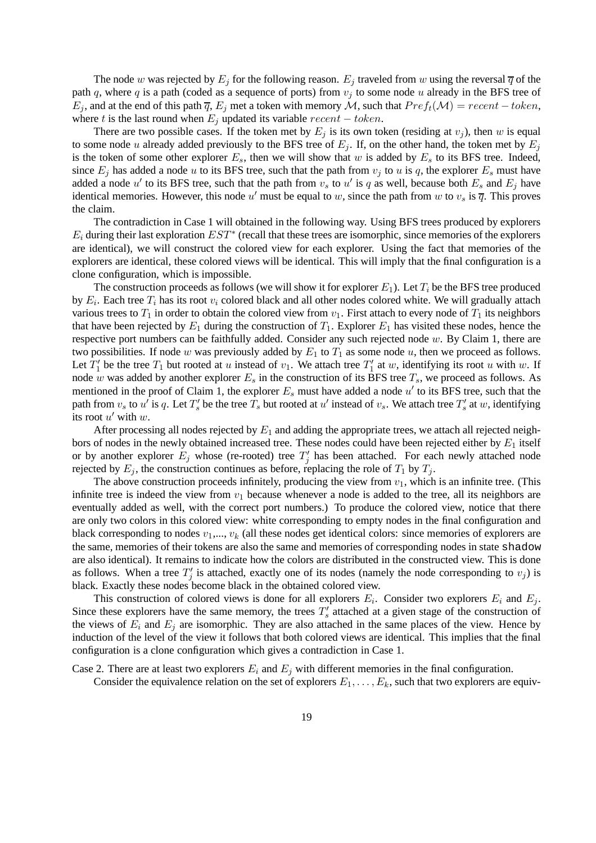The node w was rejected by  $E_j$  for the following reason.  $E_j$  traveled from w using the reversal  $\overline{q}$  of the path q, where q is a path (coded as a sequence of ports) from  $v_i$  to some node u already in the BFS tree of  $E_i$ , and at the end of this path  $\overline{q}$ ,  $E_j$  met a token with memory M, such that  $Pref_t(\mathcal{M}) = recent - token$ , where t is the last round when  $E_j$  updated its variable  $recent - token$ .

There are two possible cases. If the token met by  $E_j$  is its own token (residing at  $v_j$ ), then w is equal to some node u already added previously to the BFS tree of  $E_i$ . If, on the other hand, the token met by  $E_i$ is the token of some other explorer  $E_s$ , then we will show that w is added by  $E_s$  to its BFS tree. Indeed, since  $E_i$  has added a node u to its BFS tree, such that the path from  $v_i$  to u is q, the explorer  $E_s$  must have added a node u' to its BFS tree, such that the path from  $v_s$  to u' is q as well, because both  $E_s$  and  $E_j$  have identical memories. However, this node u' must be equal to w, since the path from w to  $v_s$  is  $\overline{q}$ . This proves the claim.

The contradiction in Case 1 will obtained in the following way. Using BFS trees produced by explorers  $E_i$  during their last exploration  $EST^*$  (recall that these trees are isomorphic, since memories of the explorers are identical), we will construct the colored view for each explorer. Using the fact that memories of the explorers are identical, these colored views will be identical. This will imply that the final configuration is a clone configuration, which is impossible.

The construction proceeds as follows (we will show it for explorer  $E_1$ ). Let  $T_i$  be the BFS tree produced by  $E_i$ . Each tree  $T_i$  has its root  $v_i$  colored black and all other nodes colored white. We will gradually attach various trees to  $T_1$  in order to obtain the colored view from  $v_1$ . First attach to every node of  $T_1$  its neighbors that have been rejected by  $E_1$  during the construction of  $T_1$ . Explorer  $E_1$  has visited these nodes, hence the respective port numbers can be faithfully added. Consider any such rejected node w. By Claim 1, there are two possibilities. If node w was previously added by  $E_1$  to  $T_1$  as some node u, then we proceed as follows. Let  $T'_1$  be the tree  $T_1$  but rooted at u instead of  $v_1$ . We attach tree  $T'_1$  at w, identifying its root u with w. If node w was added by another explorer  $E_s$  in the construction of its BFS tree  $T_s$ , we proceed as follows. As mentioned in the proof of Claim 1, the explorer  $E_s$  must have added a node  $u'$  to its BFS tree, such that the path from  $v_s$  to  $u'$  is q. Let  $T'_s$  be the tree  $T_s$  but rooted at  $u'$  instead of  $v_s$ . We attach tree  $T'_s$  at  $w$ , identifying its root  $u'$  with  $w$ .

After processing all nodes rejected by  $E_1$  and adding the appropriate trees, we attach all rejected neighbors of nodes in the newly obtained increased tree. These nodes could have been rejected either by  $E_1$  itself or by another explorer  $E_j$  whose (re-rooted) tree  $T'_j$  has been attached. For each newly attached node rejected by  $E_j$ , the construction continues as before, replacing the role of  $T_1$  by  $T_j$ .

The above construction proceeds infinitely, producing the view from  $v_1$ , which is an infinite tree. (This infinite tree is indeed the view from  $v_1$  because whenever a node is added to the tree, all its neighbors are eventually added as well, with the correct port numbers.) To produce the colored view, notice that there are only two colors in this colored view: white corresponding to empty nodes in the final configuration and black corresponding to nodes  $v_1, ..., v_k$  (all these nodes get identical colors: since memories of explorers are the same, memories of their tokens are also the same and memories of corresponding nodes in state shadow are also identical). It remains to indicate how the colors are distributed in the constructed view. This is done as follows. When a tree  $T'_j$  is attached, exactly one of its nodes (namely the node corresponding to  $v_j$ ) is black. Exactly these nodes become black in the obtained colored view.

This construction of colored views is done for all explorers  $E_i$ . Consider two explorers  $E_i$  and  $E_j$ . Since these explorers have the same memory, the trees  $T_s'$  attached at a given stage of the construction of the views of  $E_i$  and  $E_j$  are isomorphic. They are also attached in the same places of the view. Hence by induction of the level of the view it follows that both colored views are identical. This implies that the final configuration is a clone configuration which gives a contradiction in Case 1.

Case 2. There are at least two explorers  $E_i$  and  $E_j$  with different memories in the final configuration.

Consider the equivalence relation on the set of explorers  $E_1, \ldots, E_k$ , such that two explorers are equiv-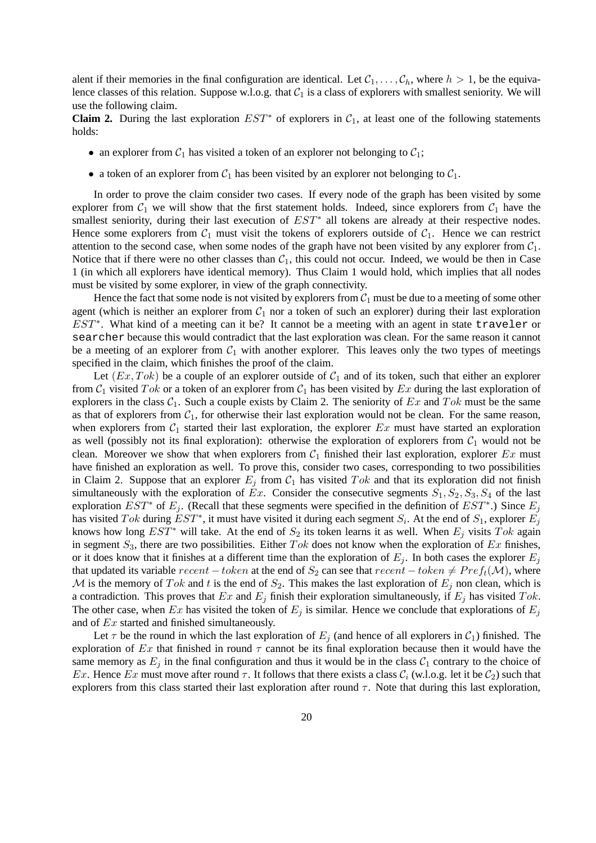alent if their memories in the final configuration are identical. Let  $C_1, \ldots, C_h$ , where  $h > 1$ , be the equivalence classes of this relation. Suppose w.l.o.g. that  $C_1$  is a class of explorers with smallest seniority. We will use the following claim.

**Claim 2.** During the last exploration  $EST^*$  of explorers in  $C_1$ , at least one of the following statements holds:

- an explorer from  $C_1$  has visited a token of an explorer not belonging to  $C_1$ ;
- a token of an explorer from  $C_1$  has been visited by an explorer not belonging to  $C_1$ .

In order to prove the claim consider two cases. If every node of the graph has been visited by some explorer from  $C_1$  we will show that the first statement holds. Indeed, since explorers from  $C_1$  have the smallest seniority, during their last execution of  $EST^*$  all tokens are already at their respective nodes. Hence some explorers from  $C_1$  must visit the tokens of explorers outside of  $C_1$ . Hence we can restrict attention to the second case, when some nodes of the graph have not been visited by any explorer from  $C_1$ . Notice that if there were no other classes than  $C_1$ , this could not occur. Indeed, we would be then in Case 1 (in which all explorers have identical memory). Thus Claim 1 would hold, which implies that all nodes must be visited by some explorer, in view of the graph connectivity.

Hence the fact that some node is not visited by explorers from  $C_1$  must be due to a meeting of some other agent (which is neither an explorer from  $C_1$  nor a token of such an explorer) during their last exploration EST<sup>\*</sup>. What kind of a meeting can it be? It cannot be a meeting with an agent in state traveler or searcher because this would contradict that the last exploration was clean. For the same reason it cannot be a meeting of an explorer from  $C_1$  with another explorer. This leaves only the two types of meetings specified in the claim, which finishes the proof of the claim.

Let  $(Ex, Tok)$  be a couple of an explorer outside of  $C_1$  and of its token, such that either an explorer from  $C_1$  visited Tok or a token of an explorer from  $C_1$  has been visited by Ex during the last exploration of explorers in the class  $C_1$ . Such a couple exists by Claim 2. The seniority of Ex and Tok must be the same as that of explorers from  $C_1$ , for otherwise their last exploration would not be clean. For the same reason, when explorers from  $C_1$  started their last exploration, the explorer  $Ex$  must have started an exploration as well (possibly not its final exploration): otherwise the exploration of explorers from  $C_1$  would not be clean. Moreover we show that when explorers from  $C_1$  finished their last exploration, explorer  $Ex$  must have finished an exploration as well. To prove this, consider two cases, corresponding to two possibilities in Claim 2. Suppose that an explorer  $E_j$  from  $C_1$  has visited  $T \circ k$  and that its exploration did not finish simultaneously with the exploration of Ex. Consider the consecutive segments  $S_1, S_2, S_3, S_4$  of the last exploration  $EST^*$  of  $E_j$ . (Recall that these segments were specified in the definition of  $EST^*$ .) Since  $E_j$ has visited  $Tok$  during  $EST^*$ , it must have visited it during each segment  $S_i$ . At the end of  $S_1$ , explorer  $\vec{E_j}$ knows how long  $EST^*$  will take. At the end of  $S_2$  its token learns it as well. When  $E_i$  visits Tok again in segment  $S_3$ , there are two possibilities. Either Tok does not know when the exploration of Ex finishes, or it does know that it finishes at a different time than the exploration of  $E_i$ . In both cases the explorer  $E_i$ that updated its variable recent – token at the end of  $S_2$  can see that recent – token  $\neq Pref_t(\mathcal{M})$ , where M is the memory of Tok and t is the end of  $S_2$ . This makes the last exploration of  $E_j$  non clean, which is a contradiction. This proves that Ex and  $E_i$  finish their exploration simultaneously, if  $E_i$  has visited Tok. The other case, when Ex has visited the token of  $E_j$  is similar. Hence we conclude that explorations of  $E_j$ and of Ex started and finished simultaneously.

Let  $\tau$  be the round in which the last exploration of  $E_j$  (and hence of all explorers in  $C_1$ ) finished. The exploration of  $Ex$  that finished in round  $\tau$  cannot be its final exploration because then it would have the same memory as  $E_i$  in the final configuration and thus it would be in the class  $C_1$  contrary to the choice of Ex. Hence Ex must move after round  $\tau$ . It follows that there exists a class  $\mathcal{C}_i$  (w.l.o.g. let it be  $\mathcal{C}_2$ ) such that explorers from this class started their last exploration after round  $\tau$ . Note that during this last exploration,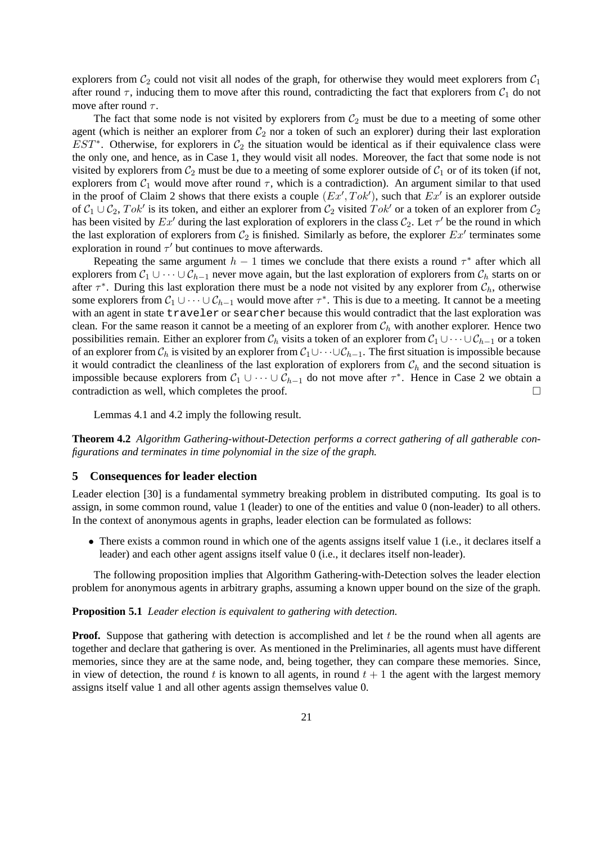explorers from  $C_2$  could not visit all nodes of the graph, for otherwise they would meet explorers from  $C_1$ after round  $\tau$ , inducing them to move after this round, contradicting the fact that explorers from  $C_1$  do not move after round  $\tau$ .

The fact that some node is not visited by explorers from  $C_2$  must be due to a meeting of some other agent (which is neither an explorer from  $C_2$  nor a token of such an explorer) during their last exploration EST<sup>\*</sup>. Otherwise, for explorers in  $C_2$  the situation would be identical as if their equivalence class were the only one, and hence, as in Case 1, they would visit all nodes. Moreover, the fact that some node is not visited by explorers from  $C_2$  must be due to a meeting of some explorer outside of  $C_1$  or of its token (if not, explorers from  $C_1$  would move after round  $\tau$ , which is a contradiction). An argument similar to that used in the proof of Claim 2 shows that there exists a couple  $(EX', Tok')$ , such that  $Ex'$  is an explorer outside of  $C_1 \cup C_2$ ,  $Tok'$  is its token, and either an explorer from  $C_2$  visited  $Tok'$  or a token of an explorer from  $C_2$ has been visited by  $Ex'$  during the last exploration of explorers in the class  $C_2$ . Let  $\tau'$  be the round in which the last exploration of explorers from  $C_2$  is finished. Similarly as before, the explorer  $Ex'$  terminates some exploration in round  $\tau'$  but continues to move afterwards.

Repeating the same argument  $h-1$  times we conclude that there exists a round  $\tau^*$  after which all explorers from  $C_1 \cup \cdots \cup C_{h-1}$  never move again, but the last exploration of explorers from  $C_h$  starts on or after  $\tau^*$ . During this last exploration there must be a node not visited by any explorer from  $\mathcal{C}_h$ , otherwise some explorers from  $C_1 \cup \cdots \cup C_{h-1}$  would move after  $\tau^*$ . This is due to a meeting. It cannot be a meeting with an agent in state traveler or searcher because this would contradict that the last exploration was clean. For the same reason it cannot be a meeting of an explorer from  $C_h$  with another explorer. Hence two possibilities remain. Either an explorer from  $C_h$  visits a token of an explorer from  $C_1 \cup \cdots \cup C_{h-1}$  or a token of an explorer from  $C_h$  is visited by an explorer from  $C_1 \cup \cdots \cup C_{h-1}$ . The first situation is impossible because it would contradict the cleanliness of the last exploration of explorers from  $C_h$  and the second situation is impossible because explorers from  $C_1 \cup \cdots \cup C_{h-1}$  do not move after  $\tau^*$ . Hence in Case 2 we obtain a contradiction as well, which completes the proof.

Lemmas 4.1 and 4.2 imply the following result.

**Theorem 4.2** *Algorithm Gathering-without-Detection performs a correct gathering of all gatherable configurations and terminates in time polynomial in the size of the graph.*

# **5 Consequences for leader election**

Leader election [30] is a fundamental symmetry breaking problem in distributed computing. Its goal is to assign, in some common round, value 1 (leader) to one of the entities and value 0 (non-leader) to all others. In the context of anonymous agents in graphs, leader election can be formulated as follows:

• There exists a common round in which one of the agents assigns itself value 1 (i.e., it declares itself a leader) and each other agent assigns itself value 0 (i.e., it declares itself non-leader).

The following proposition implies that Algorithm Gathering-with-Detection solves the leader election problem for anonymous agents in arbitrary graphs, assuming a known upper bound on the size of the graph.

#### **Proposition 5.1** *Leader election is equivalent to gathering with detection.*

**Proof.** Suppose that gathering with detection is accomplished and let t be the round when all agents are together and declare that gathering is over. As mentioned in the Preliminaries, all agents must have different memories, since they are at the same node, and, being together, they can compare these memories. Since, in view of detection, the round t is known to all agents, in round  $t + 1$  the agent with the largest memory assigns itself value 1 and all other agents assign themselves value 0.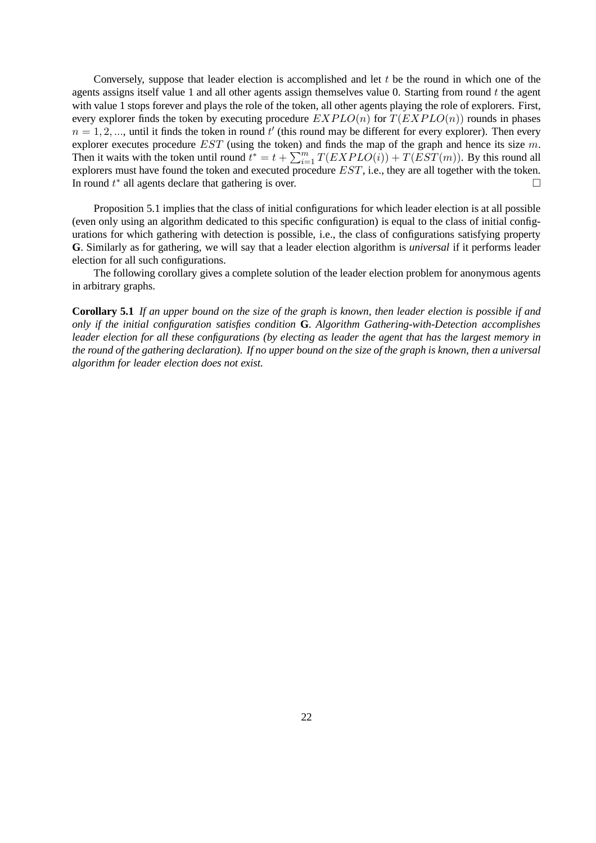Conversely, suppose that leader election is accomplished and let  $t$  be the round in which one of the agents assigns itself value 1 and all other agents assign themselves value 0. Starting from round  $t$  the agent with value 1 stops forever and plays the role of the token, all other agents playing the role of explorers. First, every explorer finds the token by executing procedure  $EXPLO(n)$  for  $T(EXPLO(n))$  rounds in phases  $n = 1, 2, \dots$ , until it finds the token in round  $t'$  (this round may be different for every explorer). Then every explorer executes procedure  $EST$  (using the token) and finds the map of the graph and hence its size  $m$ . Then it waits with the token until round  $t^* = t + \sum_{i=1}^{m} T(EXPLO(i)) + T(EST(m))$ . By this round all explorers must have found the token and executed procedure EST, i.e., they are all together with the token. In round  $t^*$  all agents declare that gathering is over.

Proposition 5.1 implies that the class of initial configurations for which leader election is at all possible (even only using an algorithm dedicated to this specific configuration) is equal to the class of initial configurations for which gathering with detection is possible, i.e., the class of configurations satisfying property **G**. Similarly as for gathering, we will say that a leader election algorithm is *universal* if it performs leader election for all such configurations.

The following corollary gives a complete solution of the leader election problem for anonymous agents in arbitrary graphs.

**Corollary 5.1** *If an upper bound on the size of the graph is known, then leader election is possible if and only if the initial configuration satisfies condition* **G***. Algorithm Gathering-with-Detection accomplishes leader election for all these configurations (by electing as leader the agent that has the largest memory in the round of the gathering declaration). If no upper bound on the size of the graph is known, then a universal algorithm for leader election does not exist.*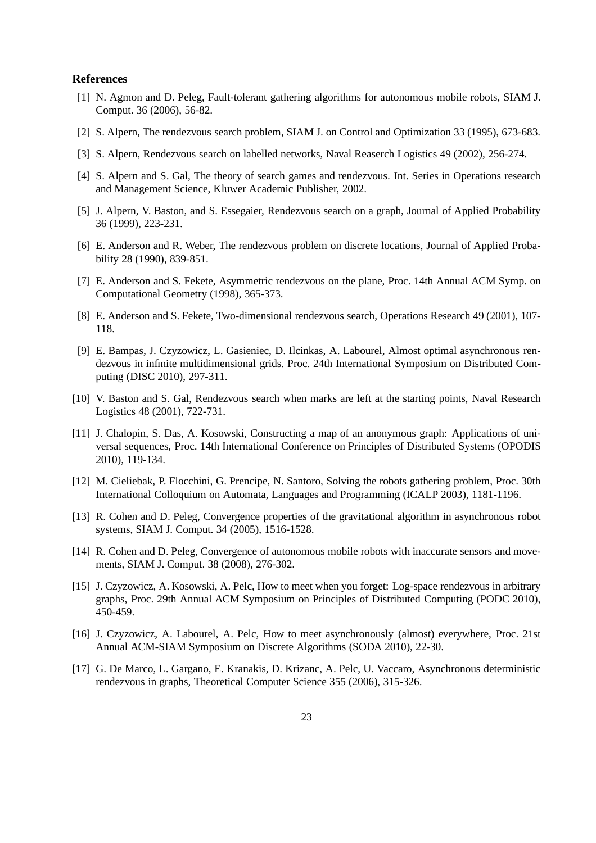# **References**

- [1] N. Agmon and D. Peleg, Fault-tolerant gathering algorithms for autonomous mobile robots, SIAM J. Comput. 36 (2006), 56-82.
- [2] S. Alpern, The rendezvous search problem, SIAM J. on Control and Optimization 33 (1995), 673-683.
- [3] S. Alpern, Rendezvous search on labelled networks, Naval Reaserch Logistics 49 (2002), 256-274.
- [4] S. Alpern and S. Gal, The theory of search games and rendezvous. Int. Series in Operations research and Management Science, Kluwer Academic Publisher, 2002.
- [5] J. Alpern, V. Baston, and S. Essegaier, Rendezvous search on a graph, Journal of Applied Probability 36 (1999), 223-231.
- [6] E. Anderson and R. Weber, The rendezvous problem on discrete locations, Journal of Applied Probability 28 (1990), 839-851.
- [7] E. Anderson and S. Fekete, Asymmetric rendezvous on the plane, Proc. 14th Annual ACM Symp. on Computational Geometry (1998), 365-373.
- [8] E. Anderson and S. Fekete, Two-dimensional rendezvous search, Operations Research 49 (2001), 107- 118.
- [9] E. Bampas, J. Czyzowicz, L. Gasieniec, D. Ilcinkas, A. Labourel, Almost optimal asynchronous rendezvous in infinite multidimensional grids. Proc. 24th International Symposium on Distributed Computing (DISC 2010), 297-311.
- [10] V. Baston and S. Gal, Rendezvous search when marks are left at the starting points, Naval Research Logistics 48 (2001), 722-731.
- [11] J. Chalopin, S. Das, A. Kosowski, Constructing a map of an anonymous graph: Applications of universal sequences, Proc. 14th International Conference on Principles of Distributed Systems (OPODIS 2010), 119-134.
- [12] M. Cieliebak, P. Flocchini, G. Prencipe, N. Santoro, Solving the robots gathering problem, Proc. 30th International Colloquium on Automata, Languages and Programming (ICALP 2003), 1181-1196.
- [13] R. Cohen and D. Peleg, Convergence properties of the gravitational algorithm in asynchronous robot systems, SIAM J. Comput. 34 (2005), 1516-1528.
- [14] R. Cohen and D. Peleg, Convergence of autonomous mobile robots with inaccurate sensors and movements, SIAM J. Comput. 38 (2008), 276-302.
- [15] J. Czyzowicz, A. Kosowski, A. Pelc, How to meet when you forget: Log-space rendezvous in arbitrary graphs, Proc. 29th Annual ACM Symposium on Principles of Distributed Computing (PODC 2010), 450-459.
- [16] J. Czyzowicz, A. Labourel, A. Pelc, How to meet asynchronously (almost) everywhere, Proc. 21st Annual ACM-SIAM Symposium on Discrete Algorithms (SODA 2010), 22-30.
- [17] G. De Marco, L. Gargano, E. Kranakis, D. Krizanc, A. Pelc, U. Vaccaro, Asynchronous deterministic rendezvous in graphs, Theoretical Computer Science 355 (2006), 315-326.